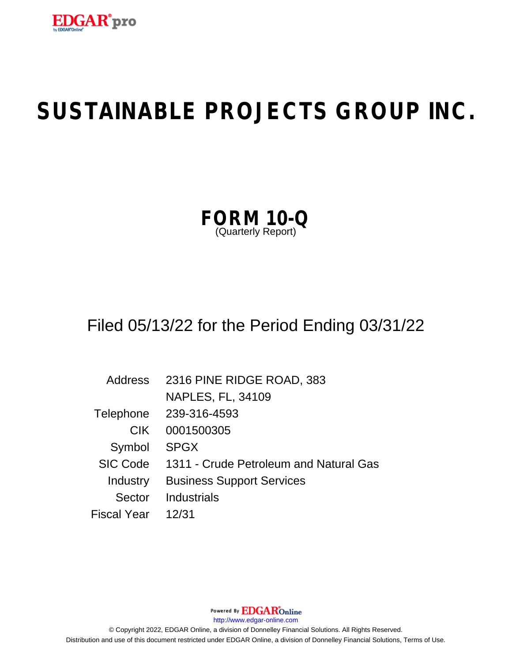

| FORM               |  | 10-Q |
|--------------------|--|------|
| (Quarterly Report) |  |      |

# Filed 05/13/22 for the Period Ending 03/31/22

| Address            | 2316 PINE RIDGE ROAD, 383              |
|--------------------|----------------------------------------|
|                    | <b>NAPLES, FL, 34109</b>               |
| Telephone          | 239-316-4593                           |
| <b>CIK</b>         | 0001500305                             |
| Symbol             | <b>SPGX</b>                            |
| <b>SIC Code</b>    | 1311 - Crude Petroleum and Natural Gas |
| Industry           | <b>Business Support Services</b>       |
| Sector             | <b>Industrials</b>                     |
| <b>Fiscal Year</b> | 12/31                                  |

Powered By EDGAROnline http://www.edgar-online.com © Copyright 2022, EDGAR Online, a division of Donnelley Financial Solutions. All Rights Reserved. Distribution and use of this document restricted under EDGAR Online, a division of Donnelley Financial Solutions, Terms of Use.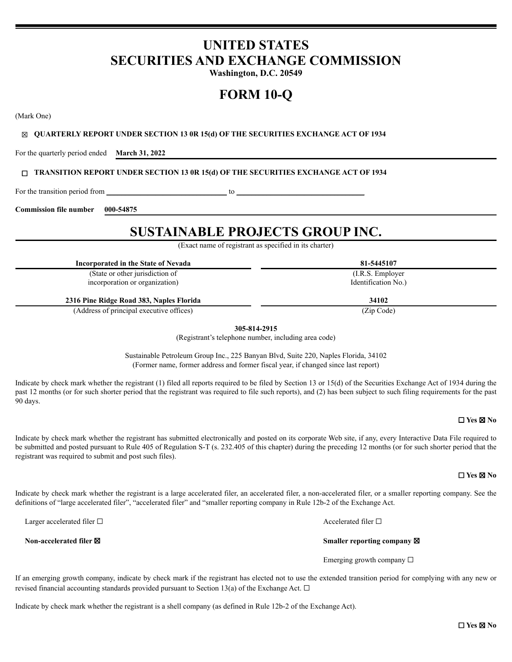## **UNITED STATES SECURITIES AND EXCHANGE COMMISSION**

Washington, D.C. 20549

# **FORM 10-O**

(Mark One)

#### $\boxtimes$  QUARTERLY REPORT UNDER SECTION 13 0R 15(d) OF THE SECURITIES EXCHANGE ACT OF 1934

For the quarterly period ended March 31, 2022

#### **TRANSITION REPORT UNDER SECTION 13 OR 15(d) OF THE SECURITIES EXCHANGE ACT OF 1934**

to

For the transition period from

**Commission file number** 000-54875

## **SUSTAINABLE PROJECTS GROUP INC.**

(Exact name of registrant as specified in its charter)

Incorporated in the State of Nevada

(State or other jurisdiction of incorporation or organization)

2316 Pine Ridge Road 383, Naples Florida

(Address of principal executive offices)

305-814-2915

(Registrant's telephone number, including area code)

Sustainable Petroleum Group Inc., 225 Banyan Blvd, Suite 220, Naples Florida, 34102 (Former name, former address and former fiscal year, if changed since last report)

Indicate by check mark whether the registrant (1) filed all reports required to be filed by Section 13 or 15(d) of the Securities Exchange Act of 1934 during the past 12 months (or for such shorter period that the registrant was required to file such reports), and (2) has been subject to such filing requirements for the past 90 days.

#### $\Box$  Yes  $\boxtimes$  No

Indicate by check mark whether the registrant has submitted electronically and posted on its corporate Web site, if any, every Interactive Data File required to be submitted and posted pursuant to Rule 405 of Regulation S-T (s. 232.405 of this chapter) during the preceding 12 months (or for such shorter period that the registrant was required to submit and post such files).

 $\Box$  Yes  $\boxtimes$  No

Indicate by check mark whether the registrant is a large accelerated filer, an accelerated filer, a non-accelerated filer, or a smaller reporting company. See the definitions of "large accelerated filer", "accelerated filer" and "smaller reporting company in Rule 12b-2 of the Exchange Act.

Larger accelerated filer  $\Box$ 

Non-accelerated filer **⊠** 

Accelerated filer  $\Box$ 

Smaller reporting company ⊠

Emerging growth company  $\Box$ 

If an emerging growth company, indicate by check mark if the registrant has elected not to use the extended transition period for complying with any new or revised financial accounting standards provided pursuant to Section 13(a) of the Exchange Act.  $\Box$ 

Indicate by check mark whether the registrant is a shell company (as defined in Rule 12b-2 of the Exchange Act).

 $\Box$  Yes  $\boxtimes$  No

81-5445107 (I.R.S. Employer Identification No.)

34102

 $(Zin Code)$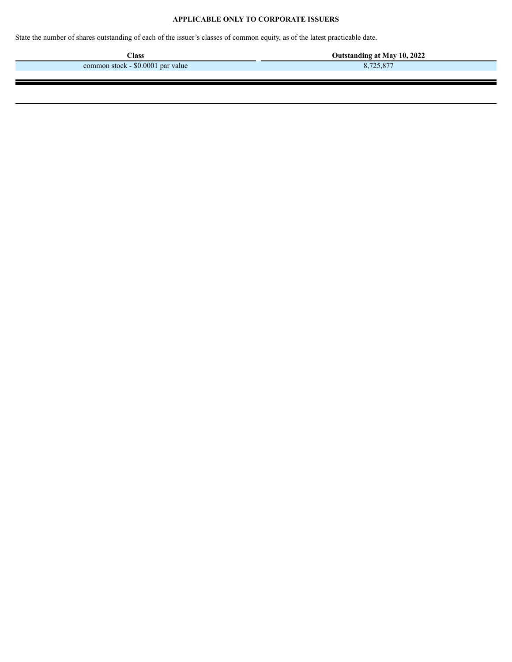#### **APPLICABLE ONLY TO CORPORATE ISSUERS**

State the number of shares outstanding of each of the issuer's classes of common equity, as of the latest practicable date.

**Class Outstanding at May 10, 2022**<br> **a Class Class Class Class Class Class Class Class Class Class Class Class Class Class Class Class Class Class Class Class Class Class Cl** common stock - \$0.0001 par value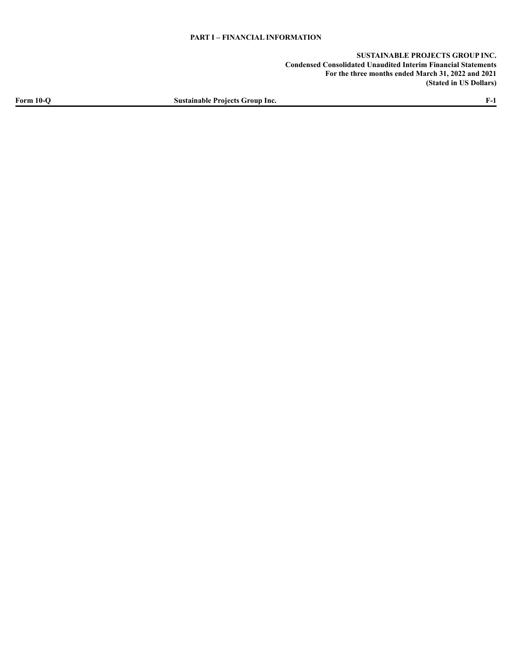**SUSTAINABLE PROJECTS GROUP INC. Condensed Consolidated Unaudited Interim Financial Statements For the three months ended March 31, 2022 and 2021 (Stated in US Dollars)**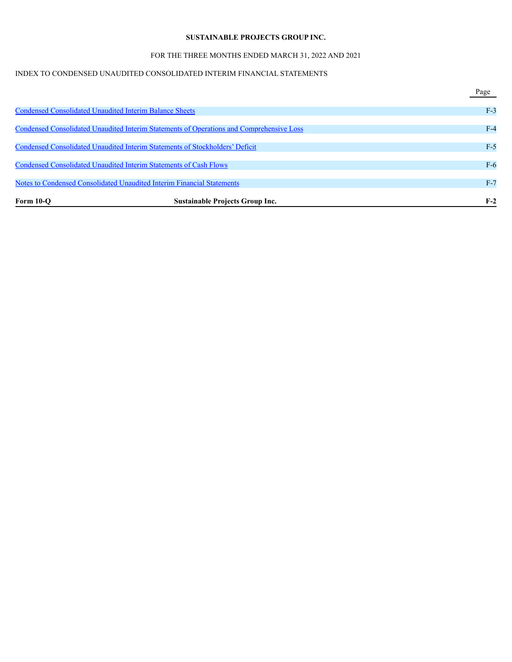#### FOR THE THREE MONTHS ENDED MARCH 31, 2022 AND 2021

#### INDEX TO CONDENSED UNAUDITED CONSOLIDATED INTERIM FINANCIAL STATEMENTS

|                                                                          |                                                                                          | Page  |
|--------------------------------------------------------------------------|------------------------------------------------------------------------------------------|-------|
| <b>Condensed Consolidated Unaudited Interim Balance Sheets</b>           |                                                                                          | $F-3$ |
|                                                                          | Condensed Consolidated Unaudited Interim Statements of Operations and Comprehensive Loss | $F-4$ |
|                                                                          | Condensed Consolidated Unaudited Interim Statements of Stockholders' Deficit             | $F-5$ |
| <b>Condensed Consolidated Unaudited Interim Statements of Cash Flows</b> |                                                                                          | $F-6$ |
|                                                                          | <b>Notes to Condensed Consolidated Unaudited Interim Financial Statements</b>            | $F-7$ |
| Form $10-o$                                                              | <b>Sustainable Projects Group Inc.</b>                                                   | $F-2$ |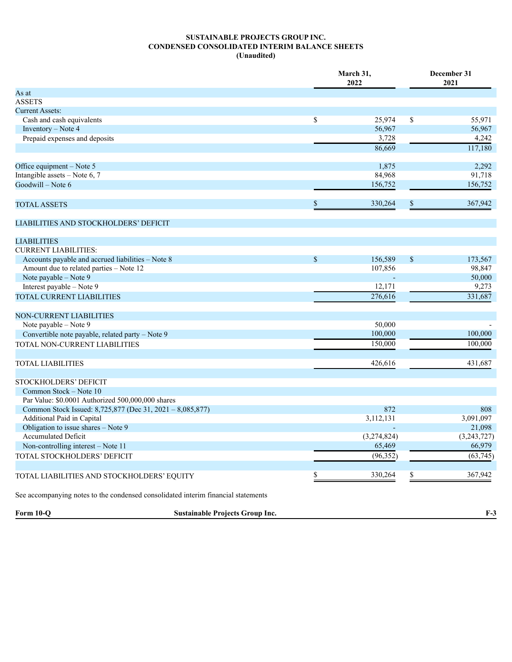#### **SUSTAINABLE PROJECTS GROUP INC. CONDENSED CONSOLIDATED INTERIM BALANCE SHEETS (Unaudited)**

|                                                                                                                | March 31,<br>2022    |             |             | December 31<br>2021 |  |  |
|----------------------------------------------------------------------------------------------------------------|----------------------|-------------|-------------|---------------------|--|--|
| As at                                                                                                          |                      |             |             |                     |  |  |
| <b>ASSETS</b>                                                                                                  |                      |             |             |                     |  |  |
| <b>Current Assets:</b>                                                                                         |                      |             |             |                     |  |  |
| Cash and cash equivalents                                                                                      | $\mathbb S$          | 25,974      | \$          | 55,971              |  |  |
| Inventory - Note 4                                                                                             |                      | 56,967      |             | 56,967              |  |  |
| Prepaid expenses and deposits                                                                                  |                      | 3,728       |             | 4,242               |  |  |
|                                                                                                                |                      | 86,669      |             | 117,180             |  |  |
| Office equipment - Note 5                                                                                      |                      | 1,875       |             | 2,292               |  |  |
| Intangible assets - Note 6, 7                                                                                  |                      | 84,968      |             | 91,718              |  |  |
| Goodwill - Note 6                                                                                              |                      | 156,752     |             | 156,752             |  |  |
| <b>TOTAL ASSETS</b>                                                                                            | $\mathbf S$          | 330,264     | \$          | 367,942             |  |  |
| LIABILITIES AND STOCKHOLDERS' DEFICIT                                                                          |                      |             |             |                     |  |  |
| <b>LIABILITIES</b>                                                                                             |                      |             |             |                     |  |  |
| <b>CURRENT LIABILITIES:</b>                                                                                    |                      |             |             |                     |  |  |
| Accounts payable and accrued liabilities - Note 8                                                              | $\sqrt{\frac{2}{5}}$ | 156,589     | $\mathbb S$ | 173,567             |  |  |
| Amount due to related parties - Note 12                                                                        |                      | 107,856     |             | 98,847              |  |  |
| Note payable - Note 9                                                                                          |                      |             |             | 50,000              |  |  |
| Interest payable - Note 9                                                                                      |                      | 12,171      |             | 9,273               |  |  |
| TOTAL CURRENT LIABILITIES                                                                                      |                      | 276,616     |             | 331,687             |  |  |
| <b>NON-CURRENT LIABILITIES</b>                                                                                 |                      |             |             |                     |  |  |
| Note payable – Note 9                                                                                          |                      | 50,000      |             |                     |  |  |
| Convertible note payable, related party - Note 9                                                               |                      | 100,000     |             | 100,000             |  |  |
| TOTAL NON-CURRENT LIABILITIES                                                                                  |                      | 150,000     |             | 100,000             |  |  |
|                                                                                                                |                      | 426,616     |             | 431,687             |  |  |
| <b>TOTAL LIABILITIES</b>                                                                                       |                      |             |             |                     |  |  |
| STOCKHOLDERS' DEFICIT                                                                                          |                      |             |             |                     |  |  |
| Common Stock – Note 10                                                                                         |                      |             |             |                     |  |  |
| Par Value: \$0.0001 Authorized 500,000,000 shares<br>Common Stock Issued: 8,725,877 (Dec 31, 2021 - 8,085,877) |                      | 872         |             | 808                 |  |  |
| Additional Paid in Capital                                                                                     |                      | 3,112,131   |             | 3,091,097           |  |  |
| Obligation to issue shares - Note 9                                                                            |                      |             |             | 21,098              |  |  |
| Accumulated Deficit                                                                                            |                      | (3,274,824) |             | (3,243,727)         |  |  |
| Non-controlling interest – Note 11                                                                             |                      | 65,469      |             | 66,979              |  |  |
| TOTAL STOCKHOLDERS' DEFICIT                                                                                    |                      | (96, 352)   |             | (63, 745)           |  |  |
|                                                                                                                |                      |             |             |                     |  |  |
| TOTAL LIABILITIES AND STOCKHOLDERS' EQUITY                                                                     |                      | 330,264     | S           | 367,942             |  |  |
| See accompanying notes to the condensed consolidated interim financial statements                              |                      |             |             |                     |  |  |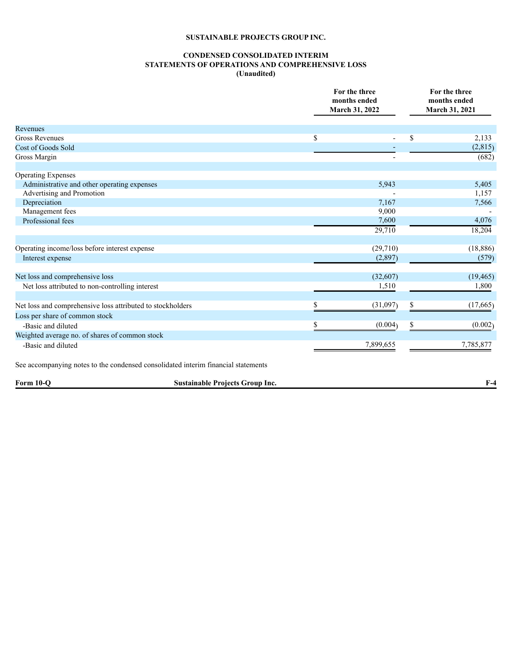#### **CONDENSED CONSOLIDATED INTERIM STATEMENTS OF OPERATIONS AND COMPREHENSIVE LOSS (Unaudited)**

|                                                                                   |                                        | For the three<br>months ended<br>March 31, 2022 |    | For the three<br>months ended<br>March 31, 2021 |
|-----------------------------------------------------------------------------------|----------------------------------------|-------------------------------------------------|----|-------------------------------------------------|
| Revenues                                                                          |                                        |                                                 |    |                                                 |
| <b>Gross Revenues</b>                                                             |                                        | \$                                              | \$ | 2,133                                           |
| Cost of Goods Sold                                                                |                                        |                                                 |    | (2, 815)                                        |
| Gross Margin                                                                      |                                        |                                                 |    | (682)                                           |
| <b>Operating Expenses</b>                                                         |                                        |                                                 |    |                                                 |
| Administrative and other operating expenses                                       |                                        | 5,943                                           |    | 5,405                                           |
| Advertising and Promotion                                                         |                                        |                                                 |    | 1,157                                           |
| Depreciation                                                                      |                                        | 7,167                                           |    | 7,566                                           |
| Management fees                                                                   |                                        | 9,000                                           |    |                                                 |
| Professional fees                                                                 |                                        | 7,600                                           |    | 4,076                                           |
|                                                                                   |                                        | 29,710                                          |    | 18,204                                          |
| Operating income/loss before interest expense                                     |                                        | (29,710)                                        |    | (18, 886)                                       |
| Interest expense                                                                  |                                        | (2,897)                                         |    | (579)                                           |
| Net loss and comprehensive loss                                                   |                                        | (32,607)                                        |    | (19, 465)                                       |
| Net loss attributed to non-controlling interest                                   |                                        | 1,510                                           |    | 1,800                                           |
|                                                                                   |                                        |                                                 |    |                                                 |
| Net loss and comprehensive loss attributed to stockholders                        |                                        | \$<br>(31,097)                                  | \$ | (17,665)                                        |
| Loss per share of common stock                                                    |                                        |                                                 |    |                                                 |
| -Basic and diluted                                                                |                                        | (0.004)                                         | S  | (0.002)                                         |
| Weighted average no. of shares of common stock                                    |                                        |                                                 |    |                                                 |
| -Basic and diluted                                                                |                                        | 7,899,655                                       |    | 7,785,877                                       |
| See accompanying notes to the condensed consolidated interim financial statements |                                        |                                                 |    |                                                 |
| Form 10-Q                                                                         | <b>Sustainable Projects Group Inc.</b> |                                                 |    | $F-4$                                           |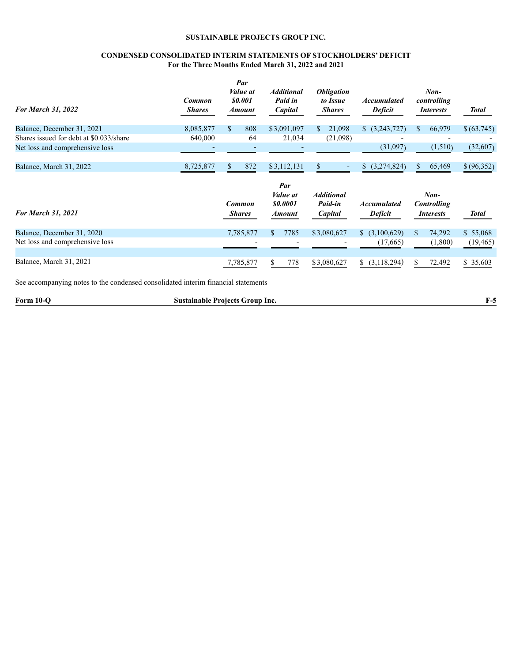#### **CONDENSED CONSOLIDATED INTERIM STATEMENTS OF STOCKHOLDERS' DEFICIT For the Three Months Ended March 31, 2022 and 2021**

| <b>For March 31, 2022</b>               | Common<br><b>Shares</b> | Par<br><i>Value</i> at<br><i><b>SO.001</b></i><br><b>Amount</b> | <b>Additional</b><br>Paid in<br>Capital                          | <i><b>Obligation</b></i><br>to Issue<br><b>Shares</b> | <b>Accumulated</b><br><b>Deficit</b> | $Non-$<br>controlling<br><i>Interests</i>        | <b>Total</b> |
|-----------------------------------------|-------------------------|-----------------------------------------------------------------|------------------------------------------------------------------|-------------------------------------------------------|--------------------------------------|--------------------------------------------------|--------------|
| Balance, December 31, 2021              | 8,085,877               | $\mathbb{S}$<br>808                                             | \$3,091,097                                                      | 21,098<br>S.                                          | \$ (3,243,727)                       | \$.<br>66,979                                    | \$(63,745)   |
| Shares issued for debt at \$0.033/share | 640,000                 | 64                                                              | 21,034                                                           | (21,098)                                              |                                      |                                                  |              |
| Net loss and comprehensive loss         |                         |                                                                 |                                                                  |                                                       | (31,097)                             | (1,510)                                          | (32,607)     |
| Balance, March 31, 2022                 | 8,725,877               | 872                                                             | \$3,112,131                                                      |                                                       | (3,274,824)<br>\$.                   | 65,469<br>\$                                     | \$(96,352)   |
| <b>For March 31, 2021</b>               |                         | Common<br><b>Shares</b>                                         | Par<br><i>Value</i> at<br><i><b>SO.0001</b></i><br><b>Amount</b> | <b>Additional</b><br>Paid-in<br>Capital               | <b>Accumulated</b><br><b>Deficit</b> | $Non-$<br><b>Controlling</b><br><i>Interests</i> | <b>Total</b> |
| Balance, December 31, 2020              |                         | 7,785,877                                                       | 7785<br>S.                                                       | \$3,080,627                                           | \$ (3,100,629)                       | $\mathbb{S}$<br>74,292                           | \$55,068     |
| Net loss and comprehensive loss         |                         |                                                                 |                                                                  |                                                       | (17,665)                             | (1,800)                                          | (19, 465)    |
| Balance, March 31, 2021                 |                         | 7,785,877                                                       | 778<br>\$                                                        | \$3,080,627                                           | \$ (3,118,294)                       | \$<br>72,492                                     | \$35,603     |

See accompanying notes to the condensed consolidated interim financial statements

| $\sim$<br>Form<br>. | roup<br>-lnc.<br><b>Projects</b><br>stainable<br>.suc |  |
|---------------------|-------------------------------------------------------|--|
|                     |                                                       |  |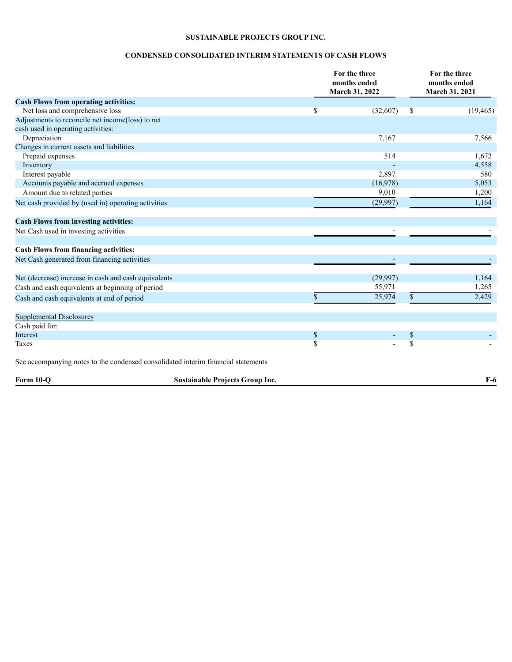#### <span id="page-8-0"></span>**CONDENSED CONSOLIDATED INTERIM STATEMENTS OF CASH FLOWS**

|                                                                                   |                                        | For the three<br>months ended<br>March 31, 2022 |          | For the three<br>months ended<br>March 31, 2021 |           |
|-----------------------------------------------------------------------------------|----------------------------------------|-------------------------------------------------|----------|-------------------------------------------------|-----------|
| <b>Cash Flows from operating activities:</b>                                      |                                        |                                                 |          |                                                 |           |
| Net loss and comprehensive loss                                                   |                                        | \$                                              | (32,607) | \$                                              | (19, 465) |
| Adjustments to reconcile net income(loss) to net                                  |                                        |                                                 |          |                                                 |           |
| cash used in operating activities:                                                |                                        |                                                 |          |                                                 |           |
| Depreciation                                                                      |                                        |                                                 | 7,167    |                                                 | 7,566     |
| Changes in current assets and liabilities                                         |                                        |                                                 |          |                                                 |           |
| Prepaid expenses                                                                  |                                        |                                                 | 514      |                                                 | 1,672     |
| Inventory                                                                         |                                        |                                                 |          |                                                 | 4,558     |
| Interest payable                                                                  |                                        |                                                 | 2,897    |                                                 | 580       |
| Accounts payable and accrued expenses                                             |                                        |                                                 | (16,978) |                                                 | 5,053     |
| Amount due to related parties                                                     |                                        |                                                 | 9,010    |                                                 | 1,200     |
| Net cash provided by (used in) operating activities                               |                                        |                                                 | (29,997) |                                                 | 1,164     |
| <b>Cash Flows from investing activities:</b>                                      |                                        |                                                 |          |                                                 |           |
| Net Cash used in investing activities                                             |                                        |                                                 |          |                                                 |           |
| <b>Cash Flows from financing activities:</b>                                      |                                        |                                                 |          |                                                 |           |
| Net Cash generated from financing activities                                      |                                        |                                                 |          |                                                 |           |
| Net (decrease) increase in cash and cash equivalents                              |                                        |                                                 | (29,997) |                                                 | 1,164     |
| Cash and cash equivalents at beginning of period                                  |                                        |                                                 | 55,971   |                                                 | 1,265     |
| Cash and cash equivalents at end of period                                        |                                        | \$                                              | 25,974   | \$                                              | 2,429     |
| <b>Supplemental Disclosures</b>                                                   |                                        |                                                 |          |                                                 |           |
| Cash paid for:                                                                    |                                        |                                                 |          |                                                 |           |
| Interest                                                                          |                                        | $\boldsymbol{\mathbb{S}}$                       |          | $\$$                                            |           |
| Taxes                                                                             |                                        | $\overline{\mathbf{S}}$                         |          | $\overline{\mathbb{S}}$                         |           |
| See accompanying notes to the condensed consolidated interim financial statements |                                        |                                                 |          |                                                 |           |
| Form 10-O                                                                         | <b>Sustainable Projects Group Inc.</b> |                                                 |          |                                                 | $F-6$     |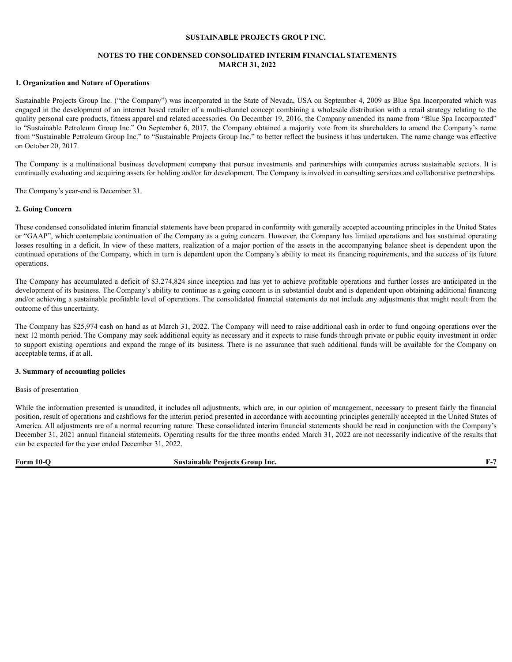#### <span id="page-9-0"></span>**NOTES TO THE CONDENSED CONSOLIDATED INTERIM FINANCIAL STATEMENTS MARCH 31, 2022**

#### **1. Organization and Nature of Operations**

Sustainable Projects Group Inc. ("the Company") was incorporated in the State of Nevada, USA on September 4, 2009 as Blue Spa Incorporated which was engaged in the development of an internet based retailer of a multi-channel concept combining a wholesale distribution with a retail strategy relating to the quality personal care products, fitness apparel and related accessories. On December 19, 2016, the Company amended its name from "Blue Spa Incorporated" to "Sustainable Petroleum Group Inc." On September 6, 2017, the Company obtained a majority vote from its shareholders to amend the Company's name from "Sustainable Petroleum Group Inc." to "Sustainable Projects Group Inc." to better reflect the business it has undertaken. The name change was effective on October 20, 2017.

The Company is a multinational business development company that pursue investments and partnerships with companies across sustainable sectors. It is continually evaluating and acquiring assets for holding and/or for development. The Company is involved in consulting services and collaborative partnerships.

The Company's year-end is December 31.

#### **2. Going Concern**

These condensed consolidated interim financial statements have been prepared in conformity with generally accepted accounting principles in the United States or "GAAP", which contemplate continuation of the Company as a going concern. However, the Company has limited operations and has sustained operating losses resulting in a deficit. In view of these matters, realization of a major portion of the assets in the accompanying balance sheet is dependent upon the continued operations of the Company, which in turn is dependent upon the Company's ability to meet its financing requirements, and the success of its future operations.

The Company has accumulated a deficit of \$3,274,824 since inception and has yet to achieve profitable operations and further losses are anticipated in the development of its business. The Company's ability to continue as a going concern is in substantial doubt and is dependent upon obtaining additional financing and/or achieving a sustainable profitable level of operations. The consolidated financial statements do not include any adjustments that might result from the outcome of this uncertainty.

The Company has \$25,974 cash on hand as at March 31, 2022. The Company will need to raise additional cash in order to fund ongoing operations over the next 12 month period. The Company may seek additional equity as necessary and it expects to raise funds through private or public equity investment in order to support existing operations and expand the range of its business. There is no assurance that such additional funds will be available for the Company on acceptable terms, if at all.

#### **3. Summary of accounting policies**

#### Basis of presentation

While the information presented is unaudited, it includes all adjustments, which are, in our opinion of management, necessary to present fairly the financial position, result of operations and cashflows for the interim period presented in accordance with accounting principles generally accepted in the United States of America. All adjustments are of a normal recurring nature. These consolidated interim financial statements should be read in conjunction with the Company's December 31, 2021 annual financial statements. Operating results for the three months ended March 31, 2022 are not necessarily indicative of the results that can be expected for the year ended December 31, 2022.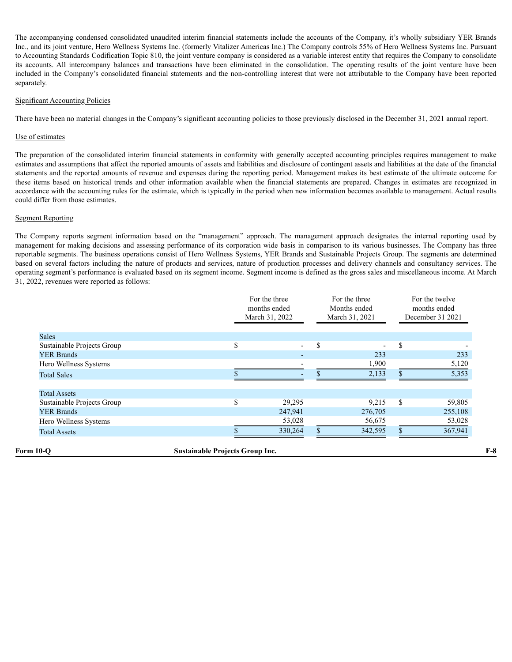The accompanying condensed consolidated unaudited interim financial statements include the accounts of the Company, it's wholly subsidiary YER Brands Inc., and its joint venture, Hero Wellness Systems Inc. (formerly Vitalizer Americas Inc.) The Company controls 55% of Hero Wellness Systems Inc. Pursuant to Accounting Standards Codification Topic 810, the joint venture company is considered as a variable interest entity that requires the Company to consolidate its accounts. All intercompany balances and transactions have been eliminated in the consolidation. The operating results of the joint venture have been included in the Company's consolidated financial statements and the non-controlling interest that were not attributable to the Company have been reported separately.

#### Significant Accounting Policies

There have been no material changes in the Company's significant accounting policies to those previously disclosed in the December 31, 2021 annual report.

#### Use of estimates

The preparation of the consolidated interim financial statements in conformity with generally accepted accounting principles requires management to make estimates and assumptions that affect the reported amounts of assets and liabilities and disclosure of contingent assets and liabilities at the date of the financial statements and the reported amounts of revenue and expenses during the reporting period. Management makes its best estimate of the ultimate outcome for these items based on historical trends and other information available when the financial statements are prepared. Changes in estimates are recognized in accordance with the accounting rules for the estimate, which is typically in the period when new information becomes available to management. Actual results could differ from those estimates.

#### Segment Reporting

The Company reports segment information based on the "management" approach. The management approach designates the internal reporting used by management for making decisions and assessing performance of its corporation wide basis in comparison to its various businesses. The Company has three reportable segments. The business operations consist of Hero Wellness Systems, YER Brands and Sustainable Projects Group. The segments are determined based on several factors including the nature of products and services, nature of production processes and delivery channels and consultancy services. The operating segment's performance is evaluated based on its segment income. Segment income is defined as the gross sales and miscellaneous income. At March 31, 2022, revenues were reported as follows:

|                            |                                        | For the three<br>months ended<br>March 31, 2022 | For the three<br>Months ended<br>March 31, 2021 |               | For the twelve<br>months ended<br>December 31 2021 |
|----------------------------|----------------------------------------|-------------------------------------------------|-------------------------------------------------|---------------|----------------------------------------------------|
| <b>Sales</b>               |                                        |                                                 |                                                 |               |                                                    |
| Sustainable Projects Group | \$                                     | $\overline{\phantom{a}}$                        | \$<br>$\blacksquare$                            | \$            |                                                    |
| <b>YER Brands</b>          |                                        |                                                 | 233                                             |               | 233                                                |
| Hero Wellness Systems      |                                        |                                                 | 1,900                                           |               | 5,120                                              |
| <b>Total Sales</b>         |                                        |                                                 | 2,133                                           |               | 5,353                                              |
| <b>Total Assets</b>        |                                        |                                                 |                                                 |               |                                                    |
| Sustainable Projects Group | \$                                     | 29,295                                          | 9,215                                           | <sup>\$</sup> | 59,805                                             |
| <b>YER Brands</b>          |                                        | 247,941                                         | 276,705                                         |               | 255,108                                            |
| Hero Wellness Systems      |                                        | 53,028                                          | 56,675                                          |               | 53,028                                             |
| <b>Total Assets</b>        |                                        | 330,264                                         | 342,595                                         |               | 367,941                                            |
| Form 10-Q                  | <b>Sustainable Projects Group Inc.</b> |                                                 |                                                 |               |                                                    |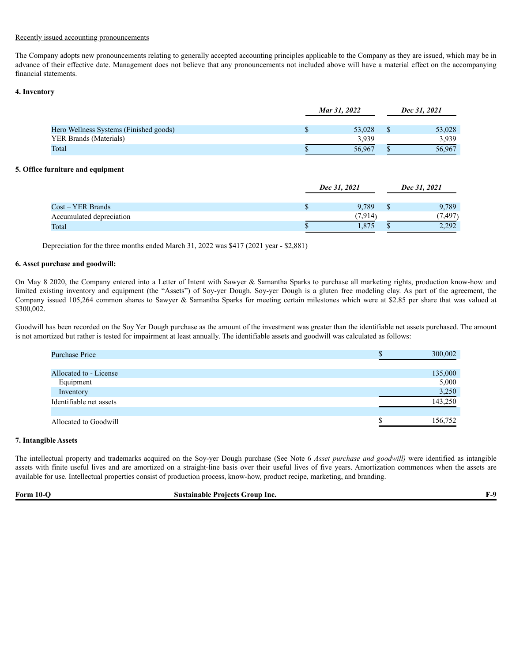#### Recently issued accounting pronouncements

The Company adopts new pronouncements relating to generally accepted accounting principles applicable to the Company as they are issued, which may be in advance of their effective date. Management does not believe that any pronouncements not included above will have a material effect on the accompanying financial statements.

#### **4. Inventory**

|                                        | Mar 31, 2022 |        | Dec 31, 2021 |        |
|----------------------------------------|--------------|--------|--------------|--------|
| Hero Wellness Systems (Finished goods) |              | 53,028 |              | 53,028 |
| YER Brands (Materials)                 |              | 3.939  |              | 3.939  |
| Total                                  |              | 56,967 |              | 56,967 |
| rrniture and equinment                 |              |        |              |        |

#### **5. Office furniture and equipment**

|                          | Dec 31, 2021 | Dec 31, 2021 |
|--------------------------|--------------|--------------|
| Cost – YER Brands        | 9.789        | 9,789        |
| Accumulated depreciation | (7.914)      | (7.497)      |
| Total                    | .875         | 2.292        |

Depreciation for the three months ended March 31, 2022 was \$417 (2021 year - \$2,881)

#### **6. Asset purchase and goodwill:**

On May 8 2020, the Company entered into a Letter of Intent with Sawyer & Samantha Sparks to purchase all marketing rights, production know-how and limited existing inventory and equipment (the "Assets") of Soy-yer Dough. Soy-yer Dough is a gluten free modeling clay. As part of the agreement, the Company issued 105,264 common shares to Sawyer & Samantha Sparks for meeting certain milestones which were at \$2.85 per share that was valued at \$300,002.

Goodwill has been recorded on the Soy Yer Dough purchase as the amount of the investment was greater than the identifiable net assets purchased. The amount is not amortized but rather is tested for impairment at least annually. The identifiable assets and goodwill was calculated as follows:

| <b>Purchase Price</b>   | 300,002 |
|-------------------------|---------|
|                         |         |
| Allocated to - License  | 135,000 |
| Equipment               | 5,000   |
| Inventory               | 3,250   |
| Identifiable net assets | 143,250 |
|                         |         |
| Allocated to Goodwill   | 156.752 |

#### **7. Intangible Assets**

The intellectual property and trademarks acquired on the Soy-yer Dough purchase (See Note 6 *Asset purchase and goodwill)* were identified as intangible assets with finite useful lives and are amortized on a straight-line basis over their useful lives of five years. Amortization commences when the assets are available for use. Intellectual properties consist of production process, know-how, product recipe, marketing, and branding.

| $\sim$<br>10-<br><b>Form</b> | Group<br>-Inc.<br>Projects<br>amable<br>. АН" |  |
|------------------------------|-----------------------------------------------|--|
|                              |                                               |  |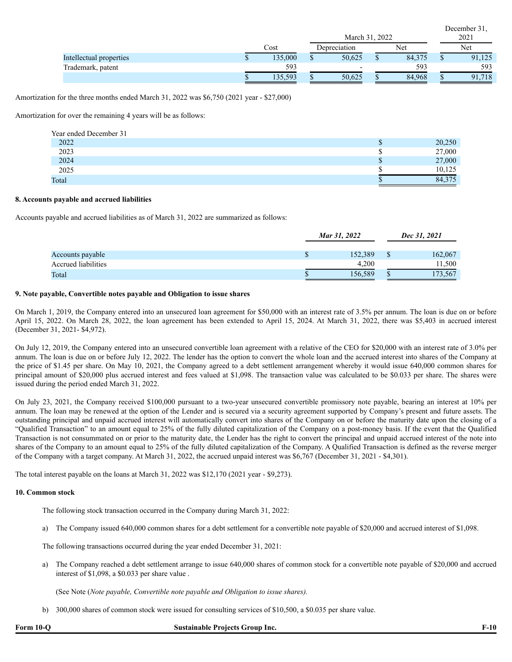|                         |         | March 31, 2022           |  |        |     | December 31.<br>2021 |
|-------------------------|---------|--------------------------|--|--------|-----|----------------------|
|                         | Cost    | Net<br>Depreciation      |  |        | Net |                      |
| Intellectual properties | 135,000 | 50,625                   |  | 84,375 |     | 91,125               |
| Trademark, patent       | 593     | $\overline{\phantom{0}}$ |  | 593    |     | 593                  |
|                         | 135,593 | 50,625                   |  | 84,968 |     | 91,718               |

Amortization for the three months ended March 31, 2022 was \$6,750 (2021 year - \$27,000)

Amortization for over the remaining 4 years will be as follows:

| Year ended December 31 |        |
|------------------------|--------|
| 2022                   | 20,250 |
| 2023                   | 27,000 |
| 2024                   | 27,000 |
| 2025                   | 10,125 |
| Total                  | 84,375 |

#### **8. Accounts payable and accrued liabilities**

Accounts payable and accrued liabilities as of March 31, 2022 are summarized as follows:

|                     | Mar 31, 2022 | Dec 31, 2021 |
|---------------------|--------------|--------------|
| Accounts payable    | 152.389      | 162,067      |
| Accrued liabilities | 4.200        | 11,500       |
| Total               | 156,589      | 173,567      |

#### **9. Note payable, Convertible notes payable and Obligation to issue shares**

On March 1, 2019, the Company entered into an unsecured loan agreement for \$50,000 with an interest rate of 3.5% per annum. The loan is due on or before April 15, 2022. On March 28, 2022, the loan agreement has been extended to April 15, 2024. At March 31, 2022, there was \$5,403 in accrued interest (December 31, 2021- \$4,972).

On July 12, 2019, the Company entered into an unsecured convertible loan agreement with a relative of the CEO for \$20,000 with an interest rate of 3.0% per annum. The loan is due on or before July 12, 2022. The lender has the option to convert the whole loan and the accrued interest into shares of the Company at the price of \$1.45 per share. On May 10, 2021, the Company agreed to a debt settlement arrangement whereby it would issue 640,000 common shares for principal amount of \$20,000 plus accrued interest and fees valued at \$1,098. The transaction value was calculated to be \$0.033 per share. The shares were issued during the period ended March 31, 2022.

On July 23, 2021, the Company received \$100,000 pursuant to a two-year unsecured convertible promissory note payable, bearing an interest at 10% per annum. The loan may be renewed at the option of the Lender and is secured via a security agreement supported by Company's present and future assets. The outstanding principal and unpaid accrued interest will automatically convert into shares of the Company on or before the maturity date upon the closing of a "Qualified Transaction" to an amount equal to 25% of the fully diluted capitalization of the Company on a post-money basis. If the event that the Qualified Transaction is not consummated on or prior to the maturity date, the Lender has the right to convert the principal and unpaid accrued interest of the note into shares of the Company to an amount equal to 25% of the fully diluted capitalization of the Company. A Qualified Transaction is defined as the reverse merger of the Company with a target company. At March 31, 2022, the accrued unpaid interest was \$6,767 (December 31, 2021 - \$4,301).

The total interest payable on the loans at March 31, 2022 was \$12,170 (2021 year - \$9,273).

#### **10. Common stock**

The following stock transaction occurred in the Company during March 31, 2022:

a) The Company issued 640,000 common shares for a debt settlement for a convertible note payable of \$20,000 and accrued interest of \$1,098.

The following transactions occurred during the year ended December 31, 2021:

a) The Company reached a debt settlement arrange to issue 640,000 shares of common stock for a convertible note payable of \$20,000 and accrued interest of \$1,098, a \$0.033 per share value .

(See Note (*Note payable, Convertible note payable and Obligation to issue shares).*

b) 300,000 shares of common stock were issued for consulting services of \$10,500, a \$0.035 per share value.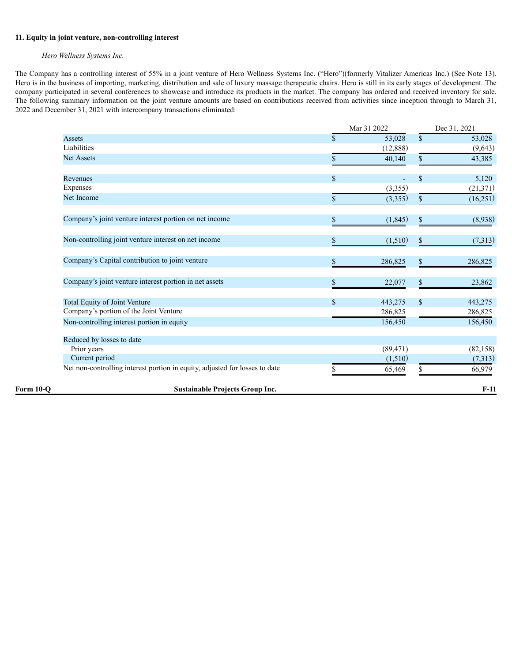#### **11. Equity in joint venture, non-controlling interest**

#### *Hero Wellness Systems Inc.*

The Company has a controlling interest of 55% in a joint venture of Hero Wellness Systems Inc. ("Hero")(formerly Vitalizer Americas Inc.) (See Note 13). Hero is in the business of importing, marketing, distribution and sale of luxury massage therapeutic chairs. Hero is still in its early stages of development. The company participated in several conferences to showcase and introduce its products in the market. The company has ordered and received inventory for sale. The following summary information on the joint venture amounts are based on contributions received from activities since inception through to March 31, 2022 and December 31, 2021 with intercompany transactions eliminated:

|             |                                                                             |              | Mar 31 2022 |              | Dec 31, 2021 |
|-------------|-----------------------------------------------------------------------------|--------------|-------------|--------------|--------------|
|             | Assets                                                                      | $\mathbf{s}$ | 53,028      | $\mathbf S$  | 53,028       |
|             | Liabilities                                                                 |              | (12,888)    |              | (9,643)      |
|             | <b>Net Assets</b>                                                           | \$           | 40,140      | \$           | 43,385       |
|             | Revenues                                                                    | $\mathbb{S}$ | ٠           | $\mathbb{S}$ | 5,120        |
|             | Expenses                                                                    |              | (3,355)     |              | (21, 371)    |
|             | Net Income                                                                  | \$           | (3,355)     | \$           | (16,251)     |
|             | Company's joint venture interest portion on net income                      | \$           | (1, 845)    |              | (8,938)      |
|             | Non-controlling joint venture interest on net income                        | \$           | (1,510)     | \$           | (7,313)      |
|             | Company's Capital contribution to joint venture                             | $\mathbb{S}$ | 286,825     | \$           | 286,825      |
|             | Company's joint venture interest portion in net assets                      | \$           | 22,077      | \$           | 23,862       |
|             | Total Equity of Joint Venture                                               | \$           | 443,275     | \$           | 443,275      |
|             | Company's portion of the Joint Venture                                      |              | 286,825     |              | 286,825      |
|             | Non-controlling interest portion in equity                                  |              | 156,450     |              | 156,450      |
|             | Reduced by losses to date                                                   |              |             |              |              |
|             | Prior years                                                                 |              | (89, 471)   |              | (82, 158)    |
|             | Current period                                                              |              | (1,510)     |              | (7,313)      |
|             | Net non-controlling interest portion in equity, adjusted for losses to date |              | 65,469      | \$           | 66,979       |
| Form $10-o$ | <b>Sustainable Projects Group Inc.</b>                                      |              |             |              | $F-11$       |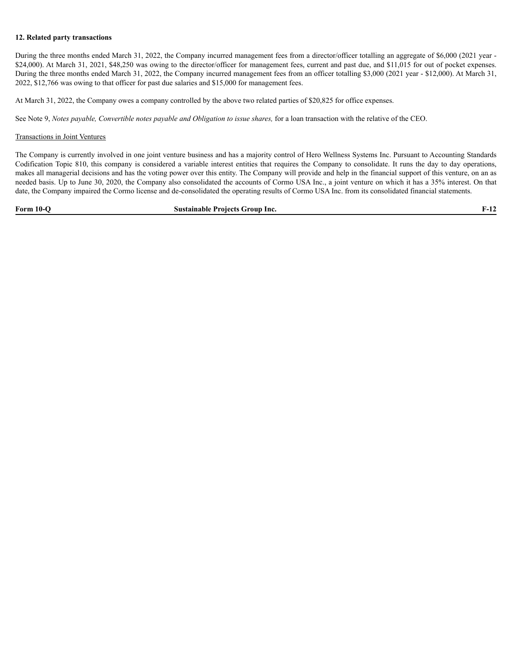#### **12. Related party transactions**

During the three months ended March 31, 2022, the Company incurred management fees from a director/officer totalling an aggregate of \$6,000 (2021 year - \$24,000). At March 31, 2021, \$48,250 was owing to the director/officer for management fees, current and past due, and \$11,015 for out of pocket expenses. During the three months ended March 31, 2022, the Company incurred management fees from an officer totalling \$3,000 (2021 year - \$12,000). At March 31, 2022, \$12,766 was owing to that officer for past due salaries and \$15,000 for management fees.

At March 31, 2022, the Company owes a company controlled by the above two related parties of \$20,825 for office expenses.

See Note 9, *Notes payable, Convertible notes payable and Obligation to issue shares,* for a loan transaction with the relative of the CEO.

#### Transactions in Joint Ventures

The Company is currently involved in one joint venture business and has a majority control of Hero Wellness Systems Inc. Pursuant to Accounting Standards Codification Topic 810, this company is considered a variable interest entities that requires the Company to consolidate. It runs the day to day operations, makes all managerial decisions and has the voting power over this entity. The Company will provide and help in the financial support of this venture, on an as needed basis. Up to June 30, 2020, the Company also consolidated the accounts of Cormo USA Inc., a joint venture on which it has a 35% interest. On that date, the Company impaired the Cormo license and de-consolidated the operating results of Cormo USA Inc. from its consolidated financial statements.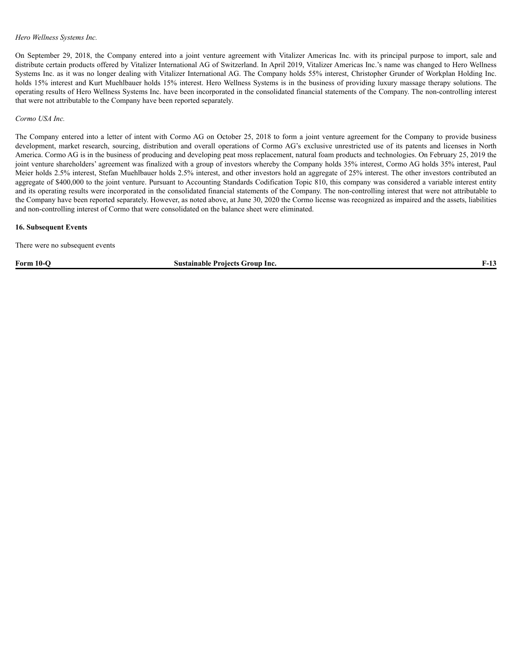#### *Hero Wellness Systems Inc.*

On September 29, 2018, the Company entered into a joint venture agreement with Vitalizer Americas Inc. with its principal purpose to import, sale and distribute certain products offered by Vitalizer International AG of Switzerland. In April 2019, Vitalizer Americas Inc.'s name was changed to Hero Wellness Systems Inc. as it was no longer dealing with Vitalizer International AG. The Company holds 55% interest, Christopher Grunder of Workplan Holding Inc. holds 15% interest and Kurt Muehlbauer holds 15% interest. Hero Wellness Systems is in the business of providing luxury massage therapy solutions. The operating results of Hero Wellness Systems Inc. have been incorporated in the consolidated financial statements of the Company. The non-controlling interest that were not attributable to the Company have been reported separately.

*Cormo USA Inc.*

The Company entered into a letter of intent with Cormo AG on October 25, 2018 to form a joint venture agreement for the Company to provide business development, market research, sourcing, distribution and overall operations of Cormo AG's exclusive unrestricted use of its patents and licenses in North America. Cormo AG is in the business of producing and developing peat moss replacement, natural foam products and technologies. On February 25, 2019 the joint venture shareholders' agreement was finalized with a group of investors whereby the Company holds 35% interest, Cormo AG holds 35% interest, Paul Meier holds 2.5% interest, Stefan Muehlbauer holds 2.5% interest, and other investors hold an aggregate of 25% interest. The other investors contributed an aggregate of \$400,000 to the joint venture. Pursuant to Accounting Standards Codification Topic 810, this company was considered a variable interest entity and its operating results were incorporated in the consolidated financial statements of the Company. The non-controlling interest that were not attributable to the Company have been reported separately. However, as noted above, at June 30, 2020 the Cormo license was recognized as impaired and the assets, liabilities and non-controlling interest of Cormo that were consolidated on the balance sheet were eliminated.

#### **16. Subsequent Events**

There were no subsequent events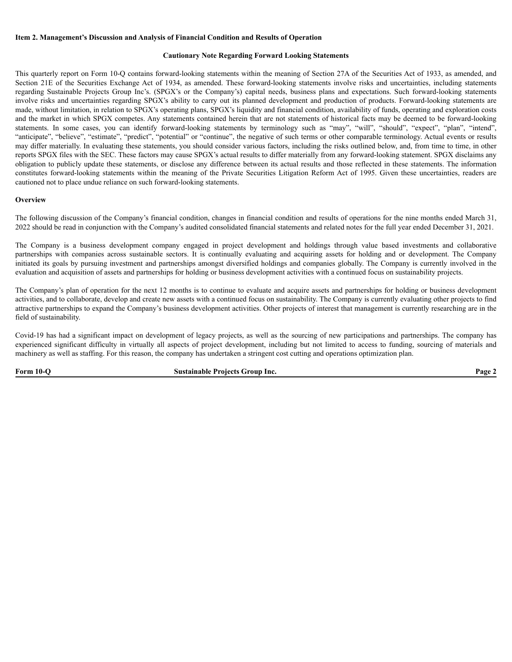#### **Item 2. Management's Discussion and Analysis of Financial Condition and Results of Operation**

#### **Cautionary Note Regarding Forward Looking Statements**

This quarterly report on Form 10-Q contains forward-looking statements within the meaning of Section 27A of the Securities Act of 1933, as amended, and Section 21E of the Securities Exchange Act of 1934, as amended. These forward-looking statements involve risks and uncertainties, including statements regarding Sustainable Projects Group Inc's. (SPGX's or the Company's) capital needs, business plans and expectations. Such forward-looking statements involve risks and uncertainties regarding SPGX's ability to carry out its planned development and production of products. Forward-looking statements are made, without limitation, in relation to SPGX's operating plans, SPGX's liquidity and financial condition, availability of funds, operating and exploration costs and the market in which SPGX competes. Any statements contained herein that are not statements of historical facts may be deemed to be forward-looking statements. In some cases, you can identify forward-looking statements by terminology such as "may", "will", "should", "expect", "plan", "intend", "anticipate", "believe", "estimate", "predict", "potential" or "continue", the negative of such terms or other comparable terminology. Actual events or results may differ materially. In evaluating these statements, you should consider various factors, including the risks outlined below, and, from time to time, in other reports SPGX files with the SEC. These factors may cause SPGX's actual results to differ materially from any forward-looking statement. SPGX disclaims any obligation to publicly update these statements, or disclose any difference between its actual results and those reflected in these statements. The information constitutes forward-looking statements within the meaning of the Private Securities Litigation Reform Act of 1995. Given these uncertainties, readers are cautioned not to place undue reliance on such forward-looking statements.

#### **Overview**

The following discussion of the Company's financial condition, changes in financial condition and results of operations for the nine months ended March 31, 2022 should be read in conjunction with the Company's audited consolidated financial statements and related notes for the full year ended December 31, 2021.

The Company is a business development company engaged in project development and holdings through value based investments and collaborative partnerships with companies across sustainable sectors. It is continually evaluating and acquiring assets for holding and or development. The Company initiated its goals by pursuing investment and partnerships amongst diversified holdings and companies globally. The Company is currently involved in the evaluation and acquisition of assets and partnerships for holding or business development activities with a continued focus on sustainability projects.

The Company's plan of operation for the next 12 months is to continue to evaluate and acquire assets and partnerships for holding or business development activities, and to collaborate, develop and create new assets with a continued focus on sustainability. The Company is currently evaluating other projects to find attractive partnerships to expand the Company's business development activities. Other projects of interest that management is currently researching are in the field of sustainability.

Covid-19 has had a significant impact on development of legacy projects, as well as the sourcing of new participations and partnerships. The company has experienced significant difficulty in virtually all aspects of project development, including but not limited to access to funding, sourcing of materials and machinery as well as staffing. For this reason, the company has undertaken a stringent cost cutting and operations optimization plan.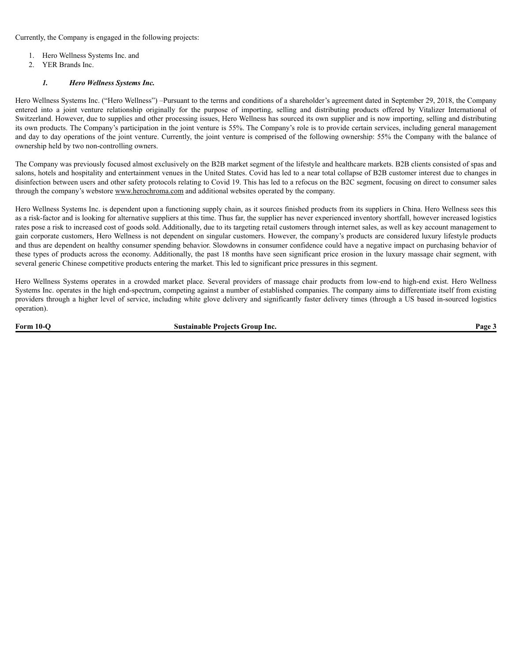Currently, the Company is engaged in the following projects:

- 1. Hero Wellness Systems Inc. and
- 2. YER Brands Inc.

#### *1. Hero Wellness Systems Inc.*

Hero Wellness Systems Inc. ("Hero Wellness") –Pursuant to the terms and conditions of a shareholder's agreement dated in September 29, 2018, the Company entered into a joint venture relationship originally for the purpose of importing, selling and distributing products offered by Vitalizer International of Switzerland. However, due to supplies and other processing issues, Hero Wellness has sourced its own supplier and is now importing, selling and distributing its own products. The Company's participation in the joint venture is 55%. The Company's role is to provide certain services, including general management and day to day operations of the joint venture. Currently, the joint venture is comprised of the following ownership: 55% the Company with the balance of ownership held by two non-controlling owners.

The Company was previously focused almost exclusively on the B2B market segment of the lifestyle and healthcare markets. B2B clients consisted of spas and salons, hotels and hospitality and entertainment venues in the United States. Covid has led to a near total collapse of B2B customer interest due to changes in disinfection between users and other safety protocols relating to Covid 19. This has led to a refocus on the B2C segment, focusing on direct to consumer sales through the company's webstore www.herochroma.com and additional websites operated by the company.

Hero Wellness Systems Inc. is dependent upon a functioning supply chain, as it sources finished products from its suppliers in China. Hero Wellness sees this as a risk-factor and is looking for alternative suppliers at this time. Thus far, the supplier has never experienced inventory shortfall, however increased logistics rates pose a risk to increased cost of goods sold. Additionally, due to its targeting retail customers through internet sales, as well as key account management to gain corporate customers, Hero Wellness is not dependent on singular customers. However, the company's products are considered luxury lifestyle products and thus are dependent on healthy consumer spending behavior. Slowdowns in consumer confidence could have a negative impact on purchasing behavior of these types of products across the economy. Additionally, the past 18 months have seen significant price erosion in the luxury massage chair segment, with several generic Chinese competitive products entering the market. This led to significant price pressures in this segment.

Hero Wellness Systems operates in a crowded market place. Several providers of massage chair products from low-end to high-end exist. Hero Wellness Systems Inc. operates in the high end-spectrum, competing against a number of established companies. The company aims to differentiate itself from existing providers through a higher level of service, including white glove delivery and significantly faster delivery times (through a US based in-sourced logistics operation).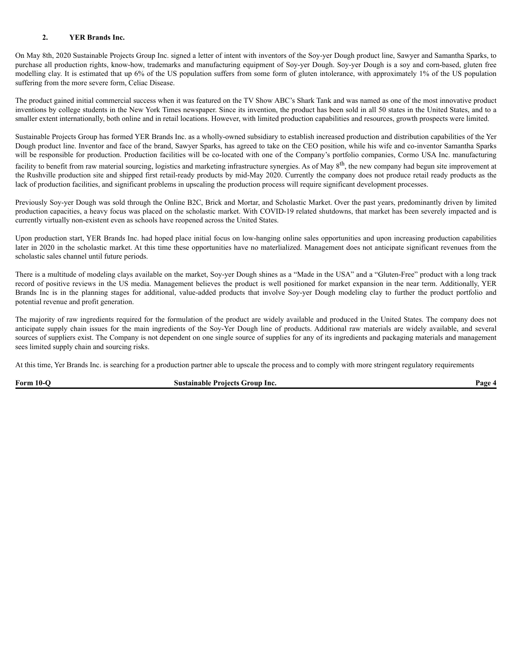#### **2. YER Brands Inc.**

On May 8th, 2020 Sustainable Projects Group Inc. signed a letter of intent with inventors of the Soy-yer Dough product line, Sawyer and Samantha Sparks, to purchase all production rights, know-how, trademarks and manufacturing equipment of Soy-yer Dough. Soy-yer Dough is a soy and corn-based, gluten free modelling clay. It is estimated that up 6% of the US population suffers from some form of gluten intolerance, with approximately 1% of the US population suffering from the more severe form, Celiac Disease.

The product gained initial commercial success when it was featured on the TV Show ABC's Shark Tank and was named as one of the most innovative product inventions by college students in the New York Times newspaper. Since its invention, the product has been sold in all 50 states in the United States, and to a smaller extent internationally, both online and in retail locations. However, with limited production capabilities and resources, growth prospects were limited.

Sustainable Projects Group has formed YER Brands Inc. as a wholly-owned subsidiary to establish increased production and distribution capabilities of the Yer Dough product line. Inventor and face of the brand, Sawyer Sparks, has agreed to take on the CEO position, while his wife and co-inventor Samantha Sparks will be responsible for production. Production facilities will be co-located with one of the Company's portfolio companies, Cormo USA Inc. manufacturing facility to benefit from raw material sourcing, logistics and marketing infrastructure synergies. As of May 8<sup>th</sup>, the new company had begun site improvement at the Rushville production site and shipped first retail-ready products by mid-May 2020. Currently the company does not produce retail ready products as the lack of production facilities, and significant problems in upscaling the production process will require significant development processes.

Previously Soy-yer Dough was sold through the Online B2C, Brick and Mortar, and Scholastic Market. Over the past years, predominantly driven by limited production capacities, a heavy focus was placed on the scholastic market. With COVID-19 related shutdowns, that market has been severely impacted and is currently virtually non-existent even as schools have reopened across the United States.

Upon production start, YER Brands Inc. had hoped place initial focus on low-hanging online sales opportunities and upon increasing production capabilities later in 2020 in the scholastic market. At this time these opportunities have no materlialized. Management does not anticipate significant revenues from the scholastic sales channel until future periods.

There is a multitude of modeling clays available on the market, Soy-yer Dough shines as a "Made in the USA" and a "Gluten-Free" product with a long track record of positive reviews in the US media. Management believes the product is well positioned for market expansion in the near term. Additionally, YER Brands Inc is in the planning stages for additional, value-added products that involve Soy-yer Dough modeling clay to further the product portfolio and potential revenue and profit generation.

The majority of raw ingredients required for the formulation of the product are widely available and produced in the United States. The company does not anticipate supply chain issues for the main ingredients of the Soy-Yer Dough line of products. Additional raw materials are widely available, and several sources of suppliers exist. The Company is not dependent on one single source of supplies for any of its ingredients and packaging materials and management sees limited supply chain and sourcing risks.

At this time, Yer Brands Inc. is searching for a production partner able to upscale the process and to comply with more stringent regulatory requirements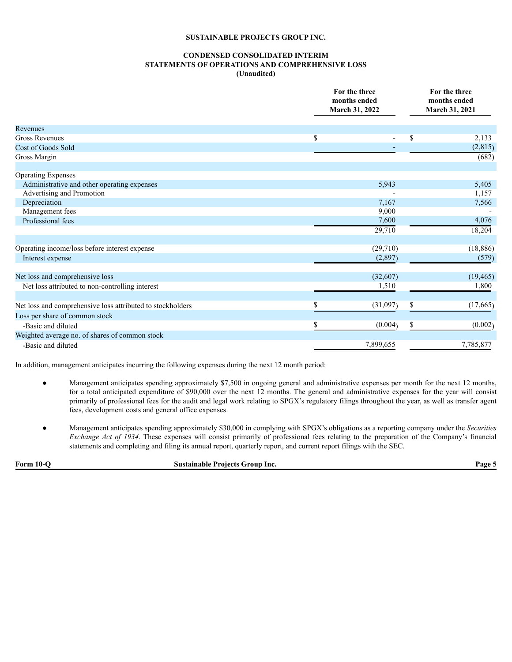#### **CONDENSED CONSOLIDATED INTERIM STATEMENTS OF OPERATIONS AND COMPREHENSIVE LOSS (Unaudited)**

|                                                            |    | For the three<br>months ended<br>March 31, 2022 | For the three<br>months ended<br>March 31, 2021 |
|------------------------------------------------------------|----|-------------------------------------------------|-------------------------------------------------|
| Revenues                                                   |    |                                                 |                                                 |
| <b>Gross Revenues</b>                                      | \$ | $\overline{\phantom{a}}$                        | \$<br>2,133                                     |
| Cost of Goods Sold                                         |    |                                                 | (2,815)                                         |
| Gross Margin                                               |    |                                                 | (682)                                           |
| <b>Operating Expenses</b>                                  |    |                                                 |                                                 |
| Administrative and other operating expenses                |    | 5,943                                           | 5,405                                           |
| Advertising and Promotion                                  |    |                                                 | 1,157                                           |
| Depreciation                                               |    | 7,167                                           | 7,566                                           |
| Management fees                                            |    | 9,000                                           |                                                 |
| Professional fees                                          |    | 7,600                                           | 4,076                                           |
|                                                            |    | 29,710                                          | 18,204                                          |
| Operating income/loss before interest expense              |    | (29,710)                                        | (18, 886)                                       |
| Interest expense                                           |    | (2,897)                                         | (579)                                           |
| Net loss and comprehensive loss                            |    | (32,607)                                        | (19, 465)                                       |
| Net loss attributed to non-controlling interest            |    | 1,510                                           | 1,800                                           |
|                                                            |    |                                                 |                                                 |
| Net loss and comprehensive loss attributed to stockholders |    | (31,097)                                        | \$<br>(17,665)                                  |
| Loss per share of common stock                             |    |                                                 |                                                 |
| -Basic and diluted                                         | S  | (0.004)                                         | \$<br>(0.002)                                   |
| Weighted average no. of shares of common stock             |    |                                                 |                                                 |
| -Basic and diluted                                         |    | 7,899,655                                       | 7,785,877                                       |

In addition, management anticipates incurring the following expenses during the next 12 month period:

- Management anticipates spending approximately \$7,500 in ongoing general and administrative expenses per month for the next 12 months, for a total anticipated expenditure of \$90,000 over the next 12 months. The general and administrative expenses for the year will consist primarily of professional fees for the audit and legal work relating to SPGX's regulatory filings throughout the year, as well as transfer agent fees, development costs and general office expenses.
- Management anticipates spending approximately \$30,000 in complying with SPGX's obligations as a reporting company under the *Securities Exchange Act of 1934*. These expenses will consist primarily of professional fees relating to the preparation of the Company's financial statements and completing and filing its annual report, quarterly report, and current report filings with the SEC.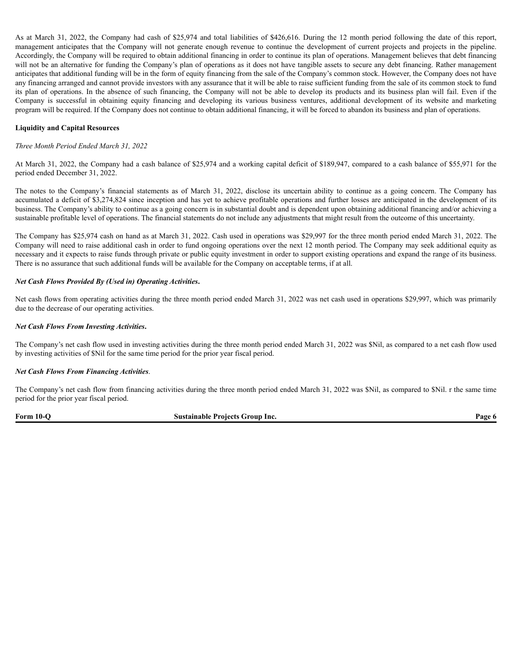As at March 31, 2022, the Company had cash of \$25,974 and total liabilities of \$426,616. During the 12 month period following the date of this report, management anticipates that the Company will not generate enough revenue to continue the development of current projects and projects in the pipeline. Accordingly, the Company will be required to obtain additional financing in order to continue its plan of operations. Management believes that debt financing will not be an alternative for funding the Company's plan of operations as it does not have tangible assets to secure any debt financing. Rather management anticipates that additional funding will be in the form of equity financing from the sale of the Company's common stock. However, the Company does not have any financing arranged and cannot provide investors with any assurance that it will be able to raise sufficient funding from the sale of its common stock to fund its plan of operations. In the absence of such financing, the Company will not be able to develop its products and its business plan will fail. Even if the Company is successful in obtaining equity financing and developing its various business ventures, additional development of its website and marketing program will be required. If the Company does not continue to obtain additional financing, it will be forced to abandon its business and plan of operations.

#### **Liquidity and Capital Resources**

#### *Three Month Period Ended March 31, 2022*

At March 31, 2022, the Company had a cash balance of \$25,974 and a working capital deficit of \$189,947, compared to a cash balance of \$55,971 for the period ended December 31, 2022.

The notes to the Company's financial statements as of March 31, 2022, disclose its uncertain ability to continue as a going concern. The Company has accumulated a deficit of \$3,274,824 since inception and has yet to achieve profitable operations and further losses are anticipated in the development of its business. The Company's ability to continue as a going concern is in substantial doubt and is dependent upon obtaining additional financing and/or achieving a sustainable profitable level of operations. The financial statements do not include any adjustments that might result from the outcome of this uncertainty.

The Company has \$25,974 cash on hand as at March 31, 2022. Cash used in operations was \$29,997 for the three month period ended March 31, 2022. The Company will need to raise additional cash in order to fund ongoing operations over the next 12 month period. The Company may seek additional equity as necessary and it expects to raise funds through private or public equity investment in order to support existing operations and expand the range of its business. There is no assurance that such additional funds will be available for the Company on acceptable terms, if at all.

#### *Net Cash Flows Provided By (Used in) Operating Activities***.**

Net cash flows from operating activities during the three month period ended March 31, 2022 was net cash used in operations \$29,997, which was primarily due to the decrease of our operating activities.

#### *Net Cash Flows From Investing Activities***.**

The Company's net cash flow used in investing activities during the three month period ended March 31, 2022 was \$Nil, as compared to a net cash flow used by investing activities of \$Nil for the same time period for the prior year fiscal period.

#### *Net Cash Flows From Financing Activities*.

The Company's net cash flow from financing activities during the three month period ended March 31, 2022 was \$Nil, as compared to \$Nil. r the same time period for the prior year fiscal period.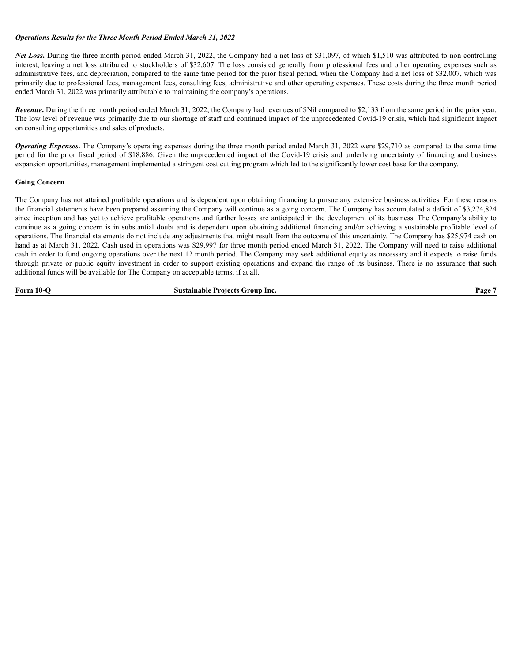#### *Operations Results for the Three Month Period Ended March 31, 2022*

*Net Loss***.** During the three month period ended March 31, 2022, the Company had a net loss of \$31,097, of which \$1,510 was attributed to non-controlling interest, leaving a net loss attributed to stockholders of \$32,607. The loss consisted generally from professional fees and other operating expenses such as administrative fees, and depreciation, compared to the same time period for the prior fiscal period, when the Company had a net loss of \$32,007, which was primarily due to professional fees, management fees, consulting fees, administrative and other operating expenses. These costs during the three month period ended March 31, 2022 was primarily attributable to maintaining the company's operations.

*Revenue*. During the three month period ended March 31, 2022, the Company had revenues of \$Nil compared to \$2,133 from the same period in the prior year. The low level of revenue was primarily due to our shortage of staff and continued impact of the unprecedented Covid-19 crisis, which had significant impact on consulting opportunities and sales of products.

*Operating Expenses***.** The Company's operating expenses during the three month period ended March 31, 2022 were \$29,710 as compared to the same time period for the prior fiscal period of \$18,886. Given the unprecedented impact of the Covid-19 crisis and underlying uncertainty of financing and business expansion opportunities, management implemented a stringent cost cutting program which led to the significantly lower cost base for the company.

#### **Going Concern**

The Company has not attained profitable operations and is dependent upon obtaining financing to pursue any extensive business activities. For these reasons the financial statements have been prepared assuming the Company will continue as a going concern. The Company has accumulated a deficit of \$3,274,824 since inception and has yet to achieve profitable operations and further losses are anticipated in the development of its business. The Company's ability to continue as a going concern is in substantial doubt and is dependent upon obtaining additional financing and/or achieving a sustainable profitable level of operations. The financial statements do not include any adjustments that might result from the outcome of this uncertainty. The Company has \$25,974 cash on hand as at March 31, 2022. Cash used in operations was \$29,997 for three month period ended March 31, 2022. The Company will need to raise additional cash in order to fund ongoing operations over the next 12 month period. The Company may seek additional equity as necessary and it expects to raise funds through private or public equity investment in order to support existing operations and expand the range of its business. There is no assurance that such additional funds will be available for The Company on acceptable terms, if at all.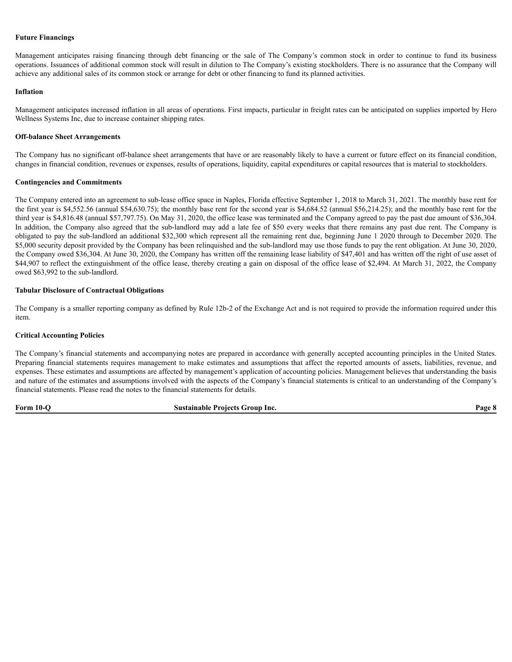#### **Future Financings**

Management anticipates raising financing through debt financing or the sale of The Company's common stock in order to continue to fund its business operations. Issuances of additional common stock will result in dilution to The Company's existing stockholders. There is no assurance that the Company will achieve any additional sales of its common stock or arrange for debt or other financing to fund its planned activities.

#### **Inflation**

Management anticipates increased inflation in all areas of operations. First impacts, particular in freight rates can be anticipated on supplies imported by Hero Wellness Systems Inc, due to increase container shipping rates.

#### **Off-balance Sheet Arrangements**

The Company has no significant off-balance sheet arrangements that have or are reasonably likely to have a current or future effect on its financial condition, changes in financial condition, revenues or expenses, results of operations, liquidity, capital expenditures or capital resources that is material to stockholders.

#### **Contingencies and Commitments**

The Company entered into an agreement to sub-lease office space in Naples, Florida effective September 1, 2018 to March 31, 2021. The monthly base rent for the first year is \$4,552.56 (annual \$54,630.75); the monthly base rent for the second year is \$4,684.52 (annual \$56,214.25); and the monthly base rent for the third year is \$4,816.48 (annual \$57,797.75). On May 31, 2020, the office lease was terminated and the Company agreed to pay the past due amount of \$36,304. In addition, the Company also agreed that the sub-landlord may add a late fee of \$50 every weeks that there remains any past due rent. The Company is obligated to pay the sub-landlord an additional \$32,300 which represent all the remaining rent due, beginning June 1 2020 through to December 2020. The \$5,000 security deposit provided by the Company has been relinquished and the sub-landlord may use those funds to pay the rent obligation. At June 30, 2020, the Company owed \$36,304. At June 30, 2020, the Company has written off the remaining lease liability of \$47,401 and has written off the right of use asset of \$44,907 to reflect the extinguishment of the office lease, thereby creating a gain on disposal of the office lease of \$2,494. At March 31, 2022, the Company owed \$63,992 to the sub-landlord.

#### **Tabular Disclosure of Contractual Obligations**

The Company is a smaller reporting company as defined by Rule 12b-2 of the Exchange Act and is not required to provide the information required under this item.

#### **Critical Accounting Policies**

The Company's financial statements and accompanying notes are prepared in accordance with generally accepted accounting principles in the United States. Preparing financial statements requires management to make estimates and assumptions that affect the reported amounts of assets, liabilities, revenue, and expenses. These estimates and assumptions are affected by management's application of accounting policies. Management believes that understanding the basis and nature of the estimates and assumptions involved with the aspects of the Company's financial statements is critical to an understanding of the Company's financial statements. Please read the notes to the financial statements for details.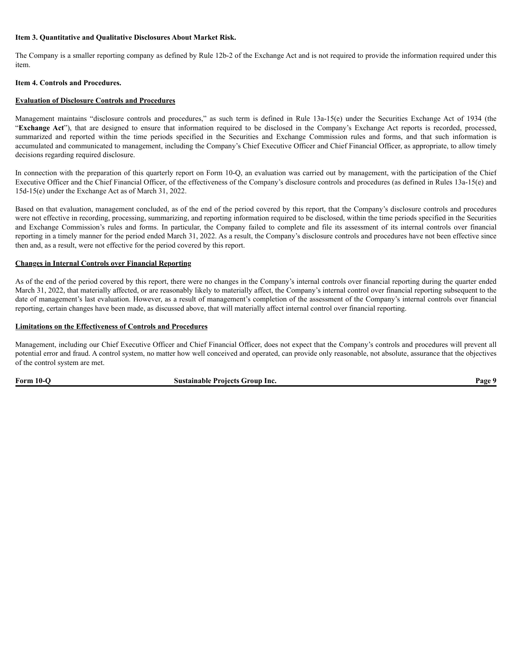#### **Item 3. Quantitative and Qualitative Disclosures About Market Risk.**

The Company is a smaller reporting company as defined by Rule 12b-2 of the Exchange Act and is not required to provide the information required under this item.

#### **Item 4. Controls and Procedures.**

#### **Evaluation of Disclosure Controls and Procedures**

Management maintains "disclosure controls and procedures," as such term is defined in Rule 13a-15(e) under the Securities Exchange Act of 1934 (the "**Exchange Act**"), that are designed to ensure that information required to be disclosed in the Company's Exchange Act reports is recorded, processed, summarized and reported within the time periods specified in the Securities and Exchange Commission rules and forms, and that such information is accumulated and communicated to management, including the Company's Chief Executive Officer and Chief Financial Officer, as appropriate, to allow timely decisions regarding required disclosure.

In connection with the preparation of this quarterly report on Form 10-Q, an evaluation was carried out by management, with the participation of the Chief Executive Officer and the Chief Financial Officer, of the effectiveness of the Company's disclosure controls and procedures (as defined in Rules 13a-15(e) and 15d-15(e) under the Exchange Act as of March 31, 2022.

Based on that evaluation, management concluded, as of the end of the period covered by this report, that the Company's disclosure controls and procedures were not effective in recording, processing, summarizing, and reporting information required to be disclosed, within the time periods specified in the Securities and Exchange Commission's rules and forms. In particular, the Company failed to complete and file its assessment of its internal controls over financial reporting in a timely manner for the period ended March 31, 2022. As a result, the Company's disclosure controls and procedures have not been effective since then and, as a result, were not effective for the period covered by this report.

#### **Changes in Internal Controls over Financial Reporting**

As of the end of the period covered by this report, there were no changes in the Company's internal controls over financial reporting during the quarter ended March 31, 2022, that materially affected, or are reasonably likely to materially affect, the Company's internal control over financial reporting subsequent to the date of management's last evaluation. However, as a result of management's completion of the assessment of the Company's internal controls over financial reporting, certain changes have been made, as discussed above, that will materially affect internal control over financial reporting.

#### **Limitations on the Effectiveness of Controls and Procedures**

Management, including our Chief Executive Officer and Chief Financial Officer, does not expect that the Company's controls and procedures will prevent all potential error and fraud. A control system, no matter how well conceived and operated, can provide only reasonable, not absolute, assurance that the objectives of the control system are met.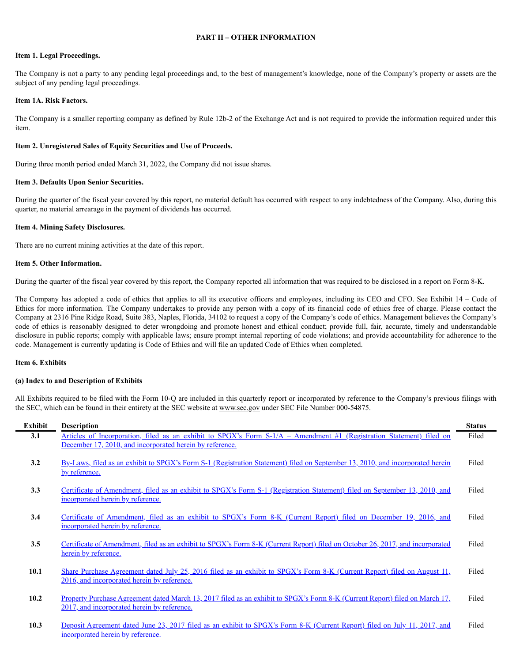#### **PART II – OTHER INFORMATION**

#### **Item 1. Legal Proceedings.**

The Company is not a party to any pending legal proceedings and, to the best of management's knowledge, none of the Company's property or assets are the subject of any pending legal proceedings.

#### **Item 1A. Risk Factors.**

The Company is a smaller reporting company as defined by Rule 12b-2 of the Exchange Act and is not required to provide the information required under this item.

#### **Item 2. Unregistered Sales of Equity Securities and Use of Proceeds.**

During three month period ended March 31, 2022, the Company did not issue shares.

#### **Item 3. Defaults Upon Senior Securities.**

During the quarter of the fiscal year covered by this report, no material default has occurred with respect to any indebtedness of the Company. Also, during this quarter, no material arrearage in the payment of dividends has occurred.

#### **Item 4. Mining Safety Disclosures.**

There are no current mining activities at the date of this report.

#### **Item 5. Other Information.**

During the quarter of the fiscal year covered by this report, the Company reported all information that was required to be disclosed in a report on Form 8-K.

The Company has adopted a code of ethics that applies to all its executive officers and employees, including its CEO and CFO. See Exhibit 14 – Code of Ethics for more information. The Company undertakes to provide any person with a copy of its financial code of ethics free of charge. Please contact the Company at 2316 Pine Ridge Road, Suite 383, Naples, Florida, 34102 to request a copy of the Company's code of ethics. Management believes the Company's code of ethics is reasonably designed to deter wrongdoing and promote honest and ethical conduct; provide full, fair, accurate, timely and understandable disclosure in public reports; comply with applicable laws; ensure prompt internal reporting of code violations; and provide accountability for adherence to the code. Management is currently updating is Code of Ethics and will file an updated Code of Ethics when completed.

#### **Item 6. Exhibits**

#### **(a) Index to and Description of Exhibits**

All Exhibits required to be filed with the Form 10-Q are included in this quarterly report or incorporated by reference to the Company's previous filings with the SEC, which can be found in their entirety at the SEC website at www.sec.gov under SEC File Number 000-54875.

| Exhibit | <b>Description</b>                                                                                                                                                               | <b>Status</b> |
|---------|----------------------------------------------------------------------------------------------------------------------------------------------------------------------------------|---------------|
| 3.1     | Articles of Incorporation, filed as an exhibit to SPGX's Form S-1/A – Amendment #1 (Registration Statement) filed on<br>December 17, 2010, and incorporated herein by reference. | Filed         |
| 3.2     | By-Laws, filed as an exhibit to SPGX's Form S-1 (Registration Statement) filed on September 13, 2010, and incorporated herein<br>by reference.                                   | Filed         |
| 3.3     | Certificate of Amendment, filed as an exhibit to SPGX's Form S-1 (Registration Statement) filed on September 13, 2010, and<br>incorporated herein by reference.                  | Filed         |
| 3.4     | Certificate of Amendment, filed as an exhibit to SPGX's Form 8-K (Current Report) filed on December 19, 2016, and<br>incorporated herein by reference.                           | Filed         |
| 3.5     | Certificate of Amendment, filed as an exhibit to SPGX's Form 8-K (Current Report) filed on October 26, 2017, and incorporated<br>herein by reference.                            | Filed         |
| 10.1    | Share Purchase Agreement dated July 25, 2016 filed as an exhibit to SPGX's Form 8-K (Current Report) filed on August 11,<br>2016, and incorporated herein by reference.          | Filed         |
| 10.2    | Property Purchase Agreement dated March 13, 2017 filed as an exhibit to SPGX's Form 8-K (Current Report) filed on March 17,<br>2017, and incorporated herein by reference.       | Filed         |
| 10.3    | Deposit Agreement dated June 23, 2017 filed as an exhibit to SPGX's Form 8-K (Current Report) filed on July 11, 2017, and<br>incorporated herein by reference.                   | Filed         |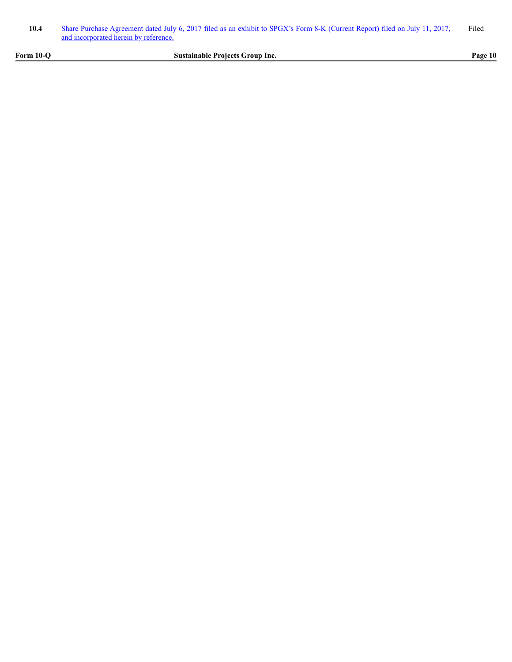| 10.4 | Share Purchase Agreement dated July 6, 2017 filed as an exhibit to SPGX's Form 8-K (Current Report) filed on July 11, 2017. | Filed |
|------|-----------------------------------------------------------------------------------------------------------------------------|-------|
|      | and incorporated herein by reference.                                                                                       |       |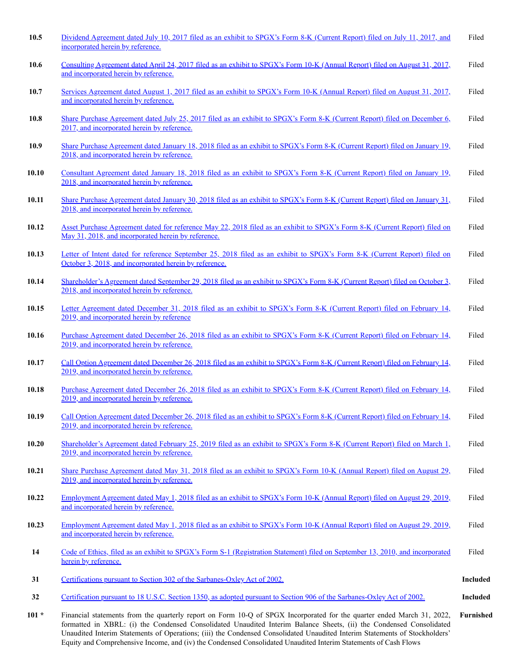| 10.5    | Dividend Agreement dated July 10, 2017 filed as an exhibit to SPGX's Form 8-K (Current Report) filed on July 11, 2017, and<br>incorporated herein by reference.                                                                                                                                                                                                             | Filed     |
|---------|-----------------------------------------------------------------------------------------------------------------------------------------------------------------------------------------------------------------------------------------------------------------------------------------------------------------------------------------------------------------------------|-----------|
| 10.6    | Consulting Agreement dated April 24, 2017 filed as an exhibit to SPGX's Form 10-K (Annual Report) filed on August 31, 2017,<br>and incorporated herein by reference.                                                                                                                                                                                                        | Filed     |
| 10.7    | Services Agreement dated August 1, 2017 filed as an exhibit to SPGX's Form 10-K (Annual Report) filed on August 31, 2017,<br>and incorporated herein by reference.                                                                                                                                                                                                          | Filed     |
| 10.8    | Share Purchase Agreement dated July 25, 2017 filed as an exhibit to SPGX's Form 8-K (Current Report) filed on December 6,<br>2017, and incorporated herein by reference.                                                                                                                                                                                                    | Filed     |
| 10.9    | Share Purchase Agreement dated January 18, 2018 filed as an exhibit to SPGX's Form 8-K (Current Report) filed on January 19,<br>2018, and incorporated herein by reference.                                                                                                                                                                                                 | Filed     |
| 10.10   | Consultant Agreement dated January 18, 2018 filed as an exhibit to SPGX's Form 8-K (Current Report) filed on January 19,<br>2018, and incorporated herein by reference.                                                                                                                                                                                                     | Filed     |
| 10.11   | Share Purchase Agreement dated January 30, 2018 filed as an exhibit to SPGX's Form 8-K (Current Report) filed on January 31,<br>2018, and incorporated herein by reference.                                                                                                                                                                                                 | Filed     |
| 10.12   | Asset Purchase Agreement dated for reference May 22, 2018 filed as an exhibit to SPGX's Form 8-K (Current Report) filed on<br>May 31, 2018, and incorporated herein by reference.                                                                                                                                                                                           | Filed     |
| 10.13   | Letter of Intent dated for reference September 25, 2018 filed as an exhibit to SPGX's Form 8-K (Current Report) filed on<br>October 3, 2018, and incorporated herein by reference.                                                                                                                                                                                          | Filed     |
| 10.14   | Shareholder's Agreement dated September 29, 2018 filed as an exhibit to SPGX's Form 8-K (Current Report) filed on October 3,<br>2018, and incorporated herein by reference.                                                                                                                                                                                                 | Filed     |
| 10.15   | Letter Agreement dated December 31, 2018 filed as an exhibit to SPGX's Form 8-K (Current Report) filed on February 14,<br>2019, and incorporated herein by reference                                                                                                                                                                                                        | Filed     |
| 10.16   | Purchase Agreement dated December 26, 2018 filed as an exhibit to SPGX's Form 8-K (Current Report) filed on February 14,<br>2019, and incorporated herein by reference.                                                                                                                                                                                                     | Filed     |
| 10.17   | Call Option Agreement dated December 26, 2018 filed as an exhibit to SPGX's Form 8-K (Current Report) filed on February 14,<br>2019, and incorporated herein by reference.                                                                                                                                                                                                  | Filed     |
| 10.18   | Purchase Agreement dated December 26, 2018 filed as an exhibit to SPGX's Form 8-K (Current Report) filed on February 14,<br>2019, and incorporated herein by reference.                                                                                                                                                                                                     | Filed     |
| 10.19   | Call Option Agreement dated December 26, 2018 filed as an exhibit to SPGX's Form 8-K (Current Report) filed on February 14,<br>2019, and incorporated herein by reference.                                                                                                                                                                                                  | Filed     |
| 10.20   | Shareholder's Agreement dated February 25, 2019 filed as an exhibit to SPGX's Form 8-K (Current Report) filed on March 1,<br>2019, and incorporated herein by reference.                                                                                                                                                                                                    | Filed     |
| 10.21   | Share Purchase Agreement dated May 31, 2018 filed as an exhibit to SPGX's Form 10-K (Annual Report) filed on August 29,<br>2019, and incorporated herein by reference.                                                                                                                                                                                                      | Filed     |
| 10.22   | Employment Agreement dated May 1, 2018 filed as an exhibit to SPGX's Form 10-K (Annual Report) filed on August 29, 2019,<br>and incorporated herein by reference.                                                                                                                                                                                                           | Filed     |
| 10.23   | Employment Agreement dated May 1, 2018 filed as an exhibit to SPGX's Form 10-K (Annual Report) filed on August 29, 2019,<br>and incorporated herein by reference.                                                                                                                                                                                                           | Filed     |
| 14      | Code of Ethics, filed as an exhibit to SPGX's Form S-1 (Registration Statement) filed on September 13, 2010, and incorporated<br>herein by reference.                                                                                                                                                                                                                       | Filed     |
| 31      | Certifications pursuant to Section 302 of the Sarbanes-Oxley Act of 2002.                                                                                                                                                                                                                                                                                                   | Included  |
| 32      | Certification pursuant to 18 U.S.C. Section 1350, as adopted pursuant to Section 906 of the Sarbanes-Oxley Act of 2002.                                                                                                                                                                                                                                                     | Included  |
| $101 *$ | Financial statements from the quarterly report on Form 10-Q of SPGX Incorporated for the quarter ended March 31, 2022,<br>formatted in XBRL: (i) the Condensed Consolidated Unaudited Interim Balance Sheets, (ii) the Condensed Consolidated<br>Unaudited Interim Statements of Operations; (iii) the Condensed Consolidated Unaudited Interim Statements of Stockholders' | Furnished |

Equity and Comprehensive Income, and (iv) the Condensed Consolidated Unaudited Interim Statements of Cash Flows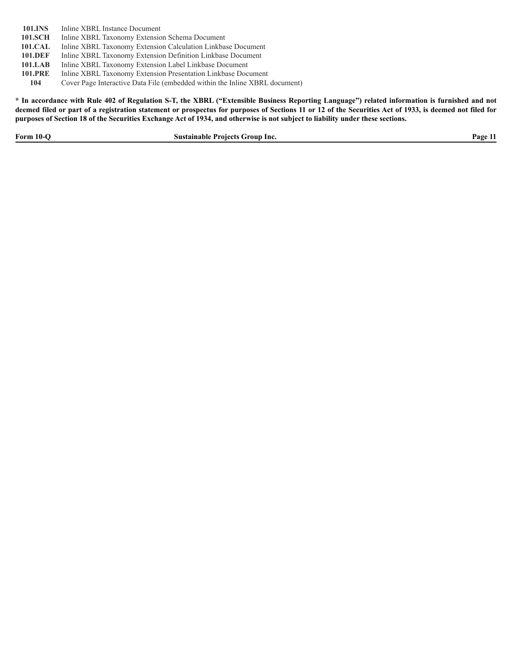101.INS Inline XBRL Instance Document

- **101.SCH** Inline XBRL Taxonomy Extension Schema Document
- **101.CAL** Inline XBRL Taxonomy Extension Calculation Linkbase Document
- 101.DEF Inline XBRL Taxonomy Extension Definition Linkbase Document
- 101.LAB Inline XBRL Taxonomy Extension Label Linkbase Document
- **101.PRE** Inline XBRL Taxonomy Extension Presentation Linkbase Document
	- **104** Cover Page Interactive Data File (embedded within the Inline XBRL document)

\* In accordance with Rule 402 of Regulation S-T, the XBRL ("Extensible Business Reporting Language") related information is furnished and not deemed filed or part of a registration statement or prospectus for purposes of Sections 11 or 12 of the Securities Act of 1933, is deemed not filed for purposes of Section 18 of the Securities Exchange Act of 1934, and otherwise is not subject to liability under these sections.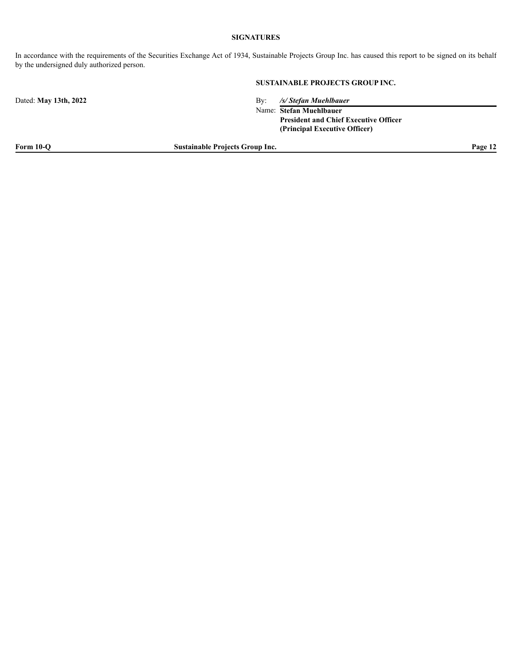#### **SIGNATURES**

In accordance with the requirements of the Securities Exchange Act of 1934, Sustainable Projects Group Inc. has caused this report to be signed on its behalf by the undersigned duly authorized person.

#### **SUSTAINABLE PROJECTS GROUP INC.**

Dated: **May 13th, 2022** By: */s/ Stefan Muehlbauer*

Name: **Stefan Muehlbauer President and Chief Executive Officer (Principal Executive Officer)**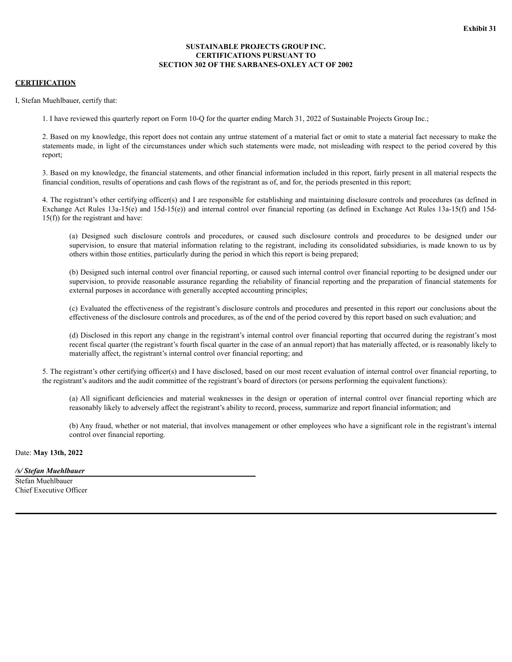#### **SUSTAINABLE PROJECTS GROUP INC. CERTIFICATIONS PURSUANT TO SECTION 302 OF THE SARBANES-OXLEY ACT OF 2002**

#### <span id="page-29-0"></span>**CERTIFICATION**

I, Stefan Muehlbauer, certify that:

1. I have reviewed this quarterly report on Form 10-Q for the quarter ending March 31, 2022 of Sustainable Projects Group Inc.;

2. Based on my knowledge, this report does not contain any untrue statement of a material fact or omit to state a material fact necessary to make the statements made, in light of the circumstances under which such statements were made, not misleading with respect to the period covered by this report;

3. Based on my knowledge, the financial statements, and other financial information included in this report, fairly present in all material respects the financial condition, results of operations and cash flows of the registrant as of, and for, the periods presented in this report;

4. The registrant's other certifying officer(s) and I are responsible for establishing and maintaining disclosure controls and procedures (as defined in Exchange Act Rules 13a-15(e) and 15d-15(e)) and internal control over financial reporting (as defined in Exchange Act Rules 13a-15(f) and 15d-15(f)) for the registrant and have:

(a) Designed such disclosure controls and procedures, or caused such disclosure controls and procedures to be designed under our supervision, to ensure that material information relating to the registrant, including its consolidated subsidiaries, is made known to us by others within those entities, particularly during the period in which this report is being prepared;

(b) Designed such internal control over financial reporting, or caused such internal control over financial reporting to be designed under our supervision, to provide reasonable assurance regarding the reliability of financial reporting and the preparation of financial statements for external purposes in accordance with generally accepted accounting principles;

(c) Evaluated the effectiveness of the registrant's disclosure controls and procedures and presented in this report our conclusions about the effectiveness of the disclosure controls and procedures, as of the end of the period covered by this report based on such evaluation; and

(d) Disclosed in this report any change in the registrant's internal control over financial reporting that occurred during the registrant's most recent fiscal quarter (the registrant's fourth fiscal quarter in the case of an annual report) that has materially affected, or is reasonably likely to materially affect, the registrant's internal control over financial reporting; and

5. The registrant's other certifying officer(s) and I have disclosed, based on our most recent evaluation of internal control over financial reporting, to the registrant's auditors and the audit committee of the registrant's board of directors (or persons performing the equivalent functions):

(a) All significant deficiencies and material weaknesses in the design or operation of internal control over financial reporting which are reasonably likely to adversely affect the registrant's ability to record, process, summarize and report financial information; and

(b) Any fraud, whether or not material, that involves management or other employees who have a significant role in the registrant's internal control over financial reporting.

Date: **May 13th, 2022**

#### */s/ Stefan Muehlbauer*

Stefan Muehlbauer Chief Executive Officer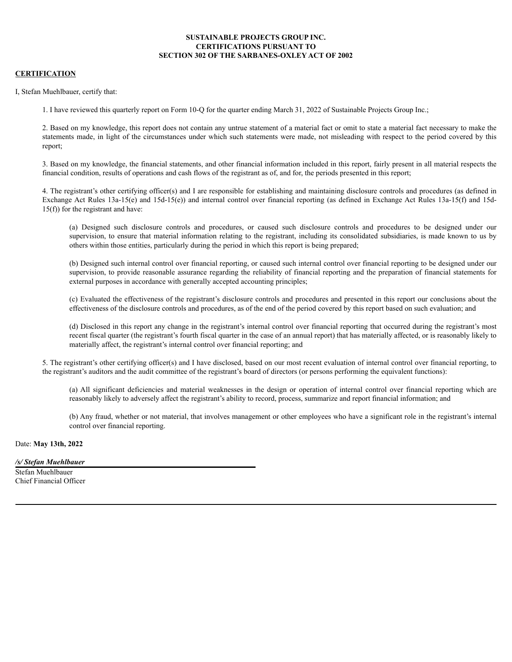#### **SUSTAINABLE PROJECTS GROUP INC. CERTIFICATIONS PURSUANT TO SECTION 302 OF THE SARBANES-OXLEY ACT OF 2002**

#### **CERTIFICATION**

I, Stefan Muehlbauer, certify that:

1. I have reviewed this quarterly report on Form 10-Q for the quarter ending March 31, 2022 of Sustainable Projects Group Inc.;

2. Based on my knowledge, this report does not contain any untrue statement of a material fact or omit to state a material fact necessary to make the statements made, in light of the circumstances under which such statements were made, not misleading with respect to the period covered by this report;

3. Based on my knowledge, the financial statements, and other financial information included in this report, fairly present in all material respects the financial condition, results of operations and cash flows of the registrant as of, and for, the periods presented in this report;

4. The registrant's other certifying officer(s) and I are responsible for establishing and maintaining disclosure controls and procedures (as defined in Exchange Act Rules 13a-15(e) and 15d-15(e)) and internal control over financial reporting (as defined in Exchange Act Rules 13a-15(f) and 15d- $15(f)$ ) for the registrant and have:

(a) Designed such disclosure controls and procedures, or caused such disclosure controls and procedures to be designed under our supervision, to ensure that material information relating to the registrant, including its consolidated subsidiaries, is made known to us by others within those entities, particularly during the period in which this report is being prepared;

(b) Designed such internal control over financial reporting, or caused such internal control over financial reporting to be designed under our supervision, to provide reasonable assurance regarding the reliability of financial reporting and the preparation of financial statements for external purposes in accordance with generally accepted accounting principles;

(c) Evaluated the effectiveness of the registrant's disclosure controls and procedures and presented in this report our conclusions about the effectiveness of the disclosure controls and procedures, as of the end of the period covered by this report based on such evaluation; and

(d) Disclosed in this report any change in the registrant's internal control over financial reporting that occurred during the registrant's most recent fiscal quarter (the registrant's fourth fiscal quarter in the case of an annual report) that has materially affected, or is reasonably likely to materially affect, the registrant's internal control over financial reporting; and

5. The registrant's other certifying officer(s) and I have disclosed, based on our most recent evaluation of internal control over financial reporting, to the registrant's auditors and the audit committee of the registrant's board of directors (or persons performing the equivalent functions):

(a) All significant deficiencies and material weaknesses in the design or operation of internal control over financial reporting which are reasonably likely to adversely affect the registrant's ability to record, process, summarize and report financial information; and

(b) Any fraud, whether or not material, that involves management or other employees who have a significant role in the registrant's internal control over financial reporting.

Date: **May 13th, 2022**

*/s/ Stefan Muehlbauer*

Stefan Muehlbauer Chief Financial Officer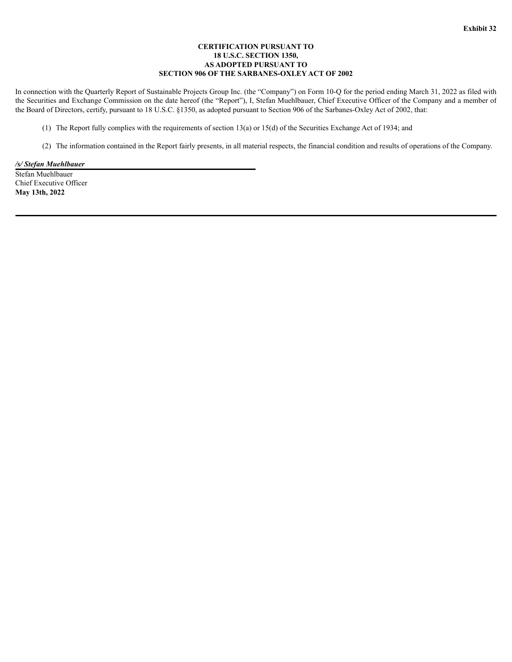#### **CERTIFICATION PURSUANT TO 18 U.S.C. SECTION 1350, AS ADOPTED PURSUANT TO SECTION 906 OF THE SARBANES-OXLEY ACT OF 2002**

<span id="page-31-0"></span>In connection with the Quarterly Report of Sustainable Projects Group Inc. (the "Company") on Form 10-Q for the period ending March 31, 2022 as filed with the Securities and Exchange Commission on the date hereof (the "Report"), I, Stefan Muehlbauer, Chief Executive Officer of the Company and a member of the Board of Directors, certify, pursuant to 18 U.S.C. §1350, as adopted pursuant to Section 906 of the Sarbanes-Oxley Act of 2002, that:

- (1) The Report fully complies with the requirements of section 13(a) or 15(d) of the Securities Exchange Act of 1934; and
- (2) The information contained in the Report fairly presents, in all material respects, the financial condition and results of operations of the Company.

#### */s/ Stefan Muehlbauer*

Stefan Muehlbauer Chief Executive Officer **May 13th, 2022**